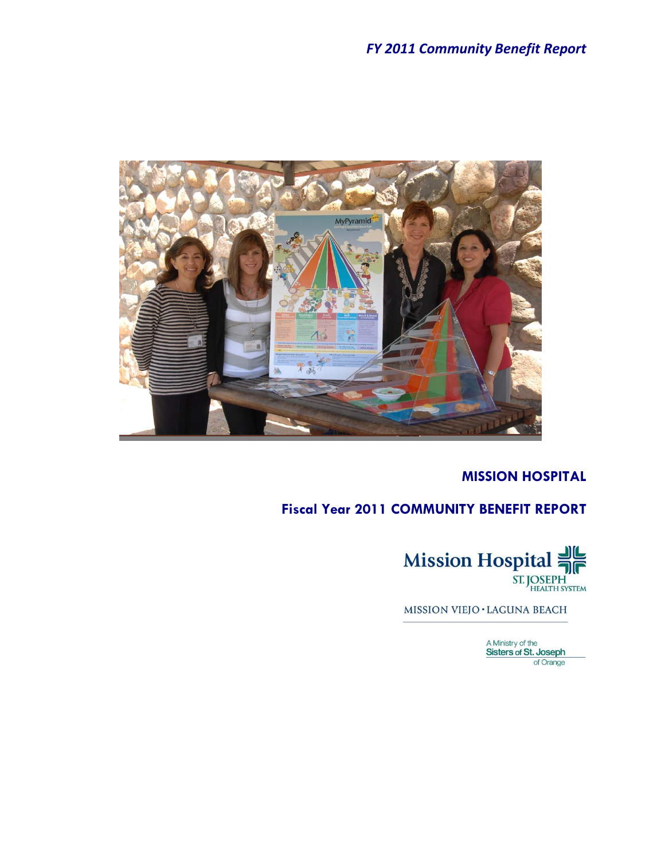

# **MISSION HOSPITAL**

# **Fiscal Year 2011 COMMUNITY BENEFIT REPORT**



MISSION VIEJO · LAGUNA BEACH

A Ministry of the<br>Sisters of St. Joseph of Orange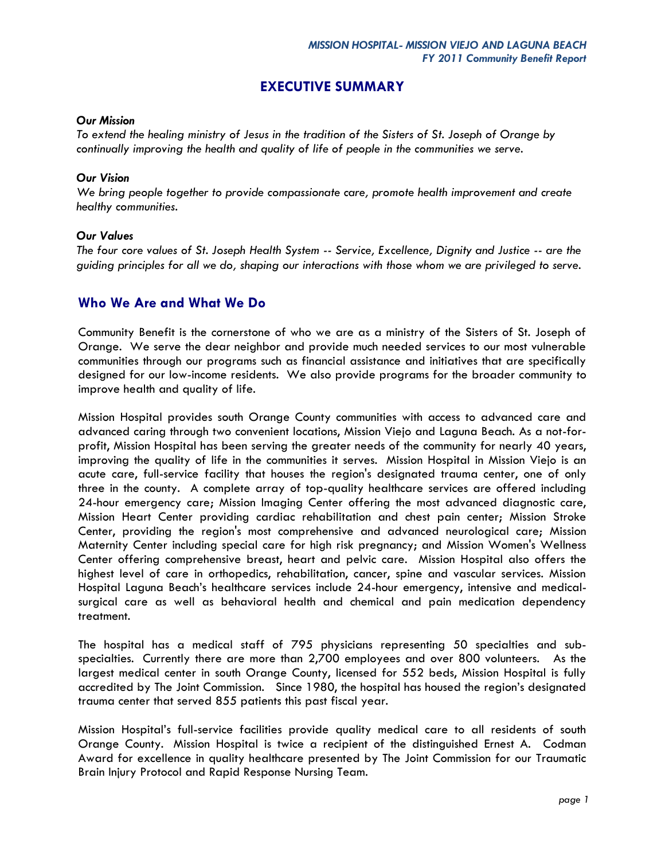### **EXECUTIVE SUMMARY**

#### *Our Mission*

*To extend the healing ministry of Jesus in the tradition of the Sisters of St. Joseph of Orange by continually improving the health and quality of life of people in the communities we serve.*

#### *Our Vision*

*We bring people together to provide compassionate care, promote health improvement and create healthy communities.* 

#### *Our Values*

*The four core values of St. Joseph Health System -- Service, Excellence, Dignity and Justice -- are the guiding principles for all we do, shaping our interactions with those whom we are privileged to serve.*

## **Who We Are and What We Do**

Community Benefit is the cornerstone of who we are as a ministry of the Sisters of St. Joseph of Orange. We serve the dear neighbor and provide much needed services to our most vulnerable communities through our programs such as financial assistance and initiatives that are specifically designed for our low-income residents. We also provide programs for the broader community to improve health and quality of life.

Mission Hospital provides south Orange County communities with access to advanced care and advanced caring through two convenient locations, Mission Viejo and Laguna Beach. As a not-forprofit, Mission Hospital has been serving the greater needs of the community for nearly 40 years, improving the quality of life in the communities it serves. Mission Hospital in Mission Viejo is an acute care, full-service facility that houses the region's designated trauma center, one of only three in the county. A complete array of top-quality healthcare services are offered including 24-hour emergency care; Mission Imaging Center offering the most advanced diagnostic care, Mission Heart Center providing cardiac rehabilitation and chest pain center; Mission Stroke Center, providing the region's most comprehensive and advanced neurological care; Mission Maternity Center including special care for high risk pregnancy; and Mission Women's Wellness Center offering comprehensive breast, heart and pelvic care. Mission Hospital also offers the highest level of care in orthopedics, rehabilitation, cancer, spine and vascular services. Mission Hospital Laguna Beach's healthcare services include 24-hour emergency, intensive and medicalsurgical care as well as behavioral health and chemical and pain medication dependency treatment.

The hospital has a medical staff of 795 physicians representing 50 specialties and subspecialties. Currently there are more than 2,700 employees and over 800 volunteers. As the largest medical center in south Orange County, licensed for 552 beds, Mission Hospital is fully accredited by The Joint Commission. Since 1980, the hospital has housed the region's designated trauma center that served 855 patients this past fiscal year.

Mission Hospital's full-service facilities provide quality medical care to all residents of south Orange County. Mission Hospital is twice a recipient of the distinguished Ernest A. Codman Award for excellence in quality healthcare presented by The Joint Commission for our Traumatic Brain Injury Protocol and Rapid Response Nursing Team.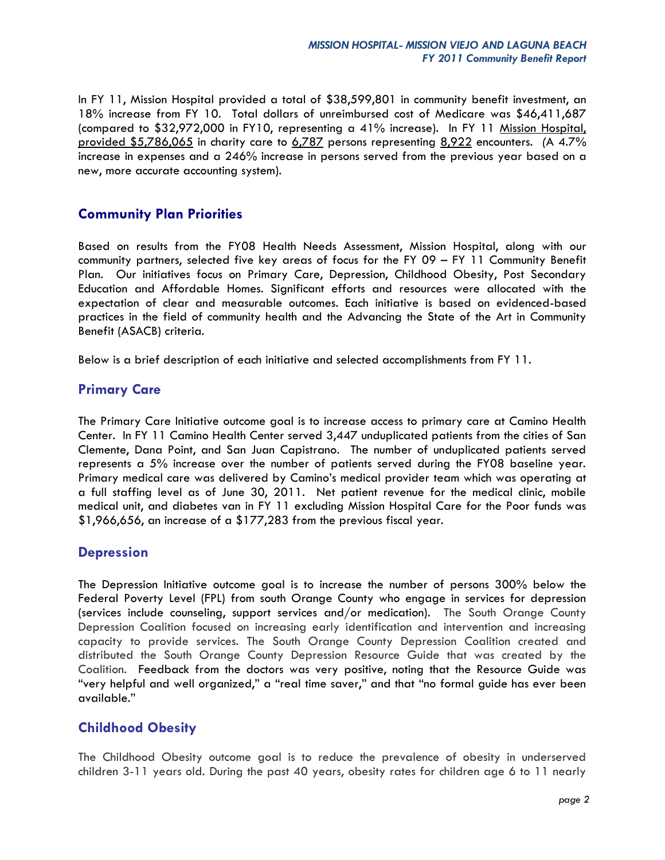In FY 11, Mission Hospital provided a total of \$38,599,801 in community benefit investment, an 18% increase from FY 10. Total dollars of unreimbursed cost of Medicare was \$46,411,687 (compared to \$32,972,000 in FY10, representing a 41% increase). In FY 11 Mission Hospital, provided \$5,786,065 in charity care to 6,787 persons representing 8,922 encounters. *(*A 4.7% increase in expenses and a 246% increase in persons served from the previous year based on a new, more accurate accounting system).

# **Community Plan Priorities**

Based on results from the FY08 Health Needs Assessment, Mission Hospital, along with our community partners, selected five key areas of focus for the FY 09 – FY 11 Community Benefit Plan. Our initiatives focus on Primary Care, Depression, Childhood Obesity, Post Secondary Education and Affordable Homes. Significant efforts and resources were allocated with the expectation of clear and measurable outcomes. Each initiative is based on evidenced-based practices in the field of community health and the Advancing the State of the Art in Community Benefit (ASACB) criteria.

Below is a brief description of each initiative and selected accomplishments from FY 11.

# **Primary Care**

The Primary Care Initiative outcome goal is to increase access to primary care at Camino Health Center. In FY 11 Camino Health Center served 3,447 unduplicated patients from the cities of San Clemente, Dana Point, and San Juan Capistrano. The number of unduplicated patients served represents a 5% increase over the number of patients served during the FY08 baseline year. Primary medical care was delivered by Camino's medical provider team which was operating at a full staffing level as of June 30, 2011. Net patient revenue for the medical clinic, mobile medical unit, and diabetes van in FY 11 excluding Mission Hospital Care for the Poor funds was \$1,966,656, an increase of a \$177,283 from the previous fiscal year.

### **Depression**

The Depression Initiative outcome goal is to increase the number of persons 300% below the Federal Poverty Level (FPL) from south Orange County who engage in services for depression (services include counseling, support services and/or medication). The South Orange County Depression Coalition focused on increasing early identification and intervention and increasing capacity to provide services. The South Orange County Depression Coalition created and distributed the South Orange County Depression Resource Guide that was created by the Coalition. Feedback from the doctors was very positive, noting that the Resource Guide was "very helpful and well organized," a "real time saver," and that "no formal guide has ever been available."

# **Childhood Obesity**

The Childhood Obesity outcome goal is to reduce the prevalence of obesity in underserved children 3-11 years old. During the past 40 years, obesity rates for children age 6 to 11 nearly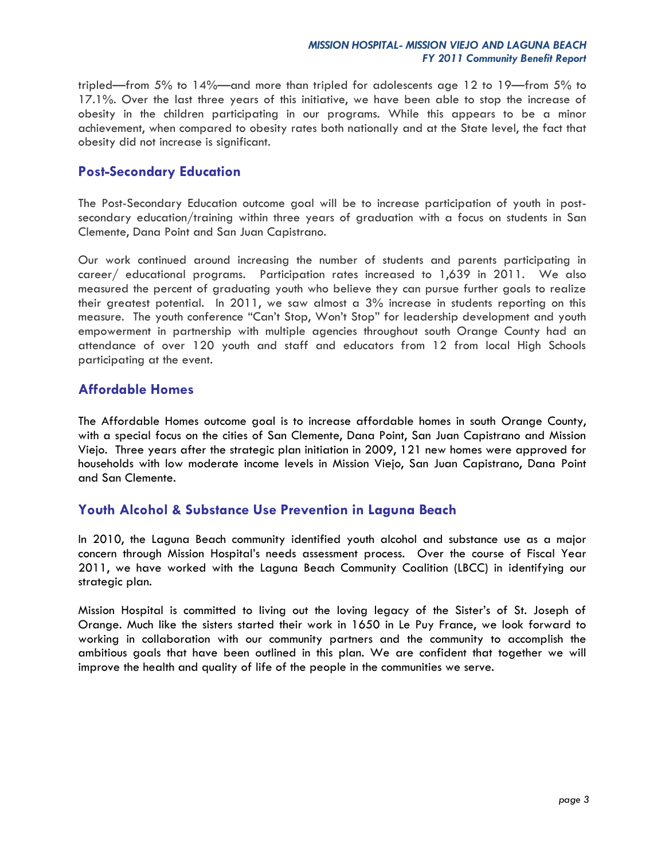tripled—from 5% to 14%—and more than tripled for adolescents age 12 to 19—from 5% to 17.1%. Over the last three years of this initiative, we have been able to stop the increase of obesity in the children participating in our programs. While this appears to be a minor achievement, when compared to obesity rates both nationally and at the State level, the fact that obesity did not increase is significant.

### **Post-Secondary Education**

The Post-Secondary Education outcome goal will be to increase participation of youth in postsecondary education/training within three years of graduation with a focus on students in San Clemente, Dana Point and San Juan Capistrano.

Our work continued around increasing the number of students and parents participating in career/ educational programs. Participation rates increased to 1,639 in 2011. We also measured the percent of graduating youth who believe they can pursue further goals to realize their greatest potential. In 2011, we saw almost a 3% increase in students reporting on this measure. The youth conference "Can't Stop, Won't Stop" for leadership development and youth empowerment in partnership with multiple agencies throughout south Orange County had an attendance of over 120 youth and staff and educators from 12 from local High Schools participating at the event.

# **Affordable Homes**

The Affordable Homes outcome goal is to increase affordable homes in south Orange County, with a special focus on the cities of San Clemente, Dana Point, San Juan Capistrano and Mission Viejo. Three years after the strategic plan initiation in 2009, 121 new homes were approved for households with low moderate income levels in Mission Viejo, San Juan Capistrano, Dana Point and San Clemente.

# **Youth Alcohol & Substance Use Prevention in Laguna Beach**

In 2010, the Laguna Beach community identified youth alcohol and substance use as a major concern through Mission Hospital's needs assessment process. Over the course of Fiscal Year 2011, we have worked with the Laguna Beach Community Coalition (LBCC) in identifying our strategic plan.

Mission Hospital is committed to living out the loving legacy of the Sister's of St. Joseph of Orange. Much like the sisters started their work in 1650 in Le Puy France, we look forward to working in collaboration with our community partners and the community to accomplish the ambitious goals that have been outlined in this plan. We are confident that together we will improve the health and quality of life of the people in the communities we serve.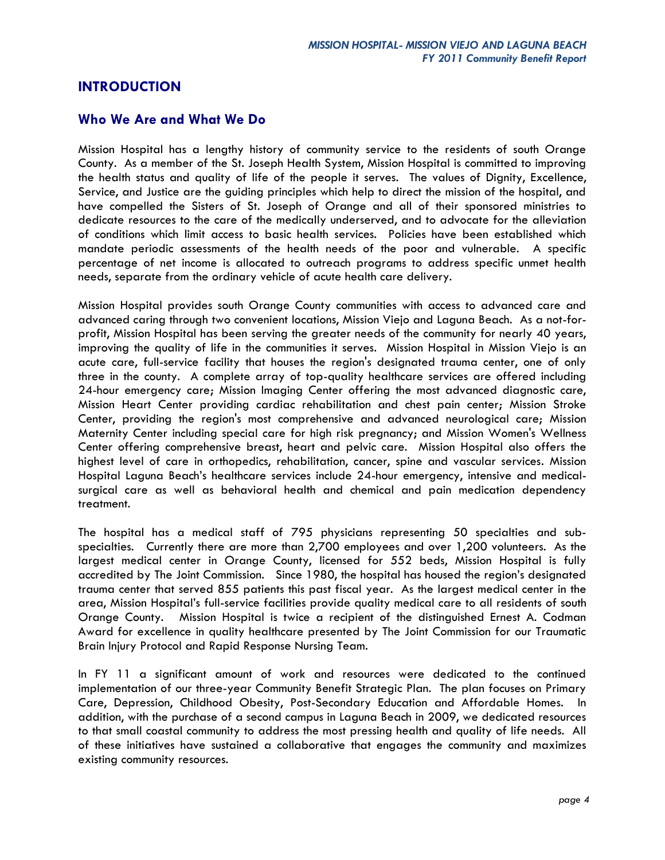## **INTRODUCTION**

### **Who We Are and What We Do**

Mission Hospital has a lengthy history of community service to the residents of south Orange County. As a member of the St. Joseph Health System, Mission Hospital is committed to improving the health status and quality of life of the people it serves. The values of Dignity, Excellence, Service, and Justice are the guiding principles which help to direct the mission of the hospital, and have compelled the Sisters of St. Joseph of Orange and all of their sponsored ministries to dedicate resources to the care of the medically underserved, and to advocate for the alleviation of conditions which limit access to basic health services. Policies have been established which mandate periodic assessments of the health needs of the poor and vulnerable. A specific percentage of net income is allocated to outreach programs to address specific unmet health needs, separate from the ordinary vehicle of acute health care delivery.

Mission Hospital provides south Orange County communities with access to advanced care and advanced caring through two convenient locations, Mission Viejo and Laguna Beach. As a not-forprofit, Mission Hospital has been serving the greater needs of the community for nearly 40 years, improving the quality of life in the communities it serves. Mission Hospital in Mission Viejo is an acute care, full-service facility that houses the region's designated trauma center, one of only three in the county. A complete array of top-quality healthcare services are offered including 24-hour emergency care; Mission Imaging Center offering the most advanced diagnostic care, Mission Heart Center providing cardiac rehabilitation and chest pain center; Mission Stroke Center, providing the region's most comprehensive and advanced neurological care; Mission Maternity Center including special care for high risk pregnancy; and Mission Women's Wellness Center offering comprehensive breast, heart and pelvic care. Mission Hospital also offers the highest level of care in orthopedics, rehabilitation, cancer, spine and vascular services. Mission Hospital Laguna Beach's healthcare services include 24-hour emergency, intensive and medicalsurgical care as well as behavioral health and chemical and pain medication dependency treatment.

The hospital has a medical staff of 795 physicians representing 50 specialties and subspecialties. Currently there are more than 2,700 employees and over 1,200 volunteers. As the largest medical center in Orange County, licensed for 552 beds, Mission Hospital is fully accredited by The Joint Commission. Since 1980, the hospital has housed the region's designated trauma center that served 855 patients this past fiscal year. As the largest medical center in the area, Mission Hospital's full-service facilities provide quality medical care to all residents of south Orange County. Mission Hospital is twice a recipient of the distinguished Ernest A. Codman Award for excellence in quality healthcare presented by The Joint Commission for our Traumatic Brain Injury Protocol and Rapid Response Nursing Team.

In FY 11 a significant amount of work and resources were dedicated to the continued implementation of our three-year Community Benefit Strategic Plan. The plan focuses on Primary Care, Depression, Childhood Obesity, Post-Secondary Education and Affordable Homes. In addition, with the purchase of a second campus in Laguna Beach in 2009, we dedicated resources to that small coastal community to address the most pressing health and quality of life needs. All of these initiatives have sustained a collaborative that engages the community and maximizes existing community resources.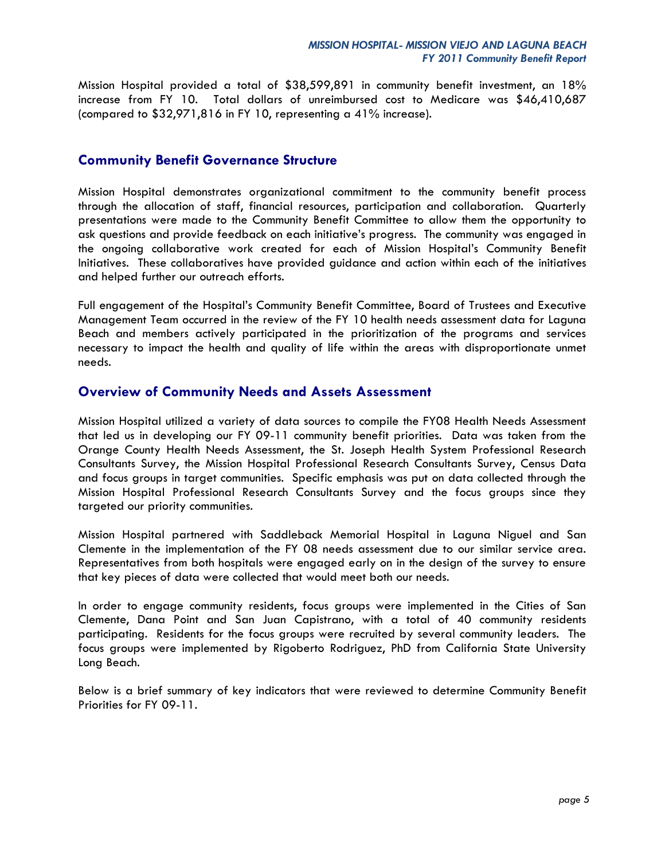Mission Hospital provided a total of \$38,599,891 in community benefit investment, an 18% increase from FY 10. Total dollars of unreimbursed cost to Medicare was \$46,410,687 (compared to \$32,971,816 in FY 10, representing a 41% increase).

### **Community Benefit Governance Structure**

Mission Hospital demonstrates organizational commitment to the community benefit process through the allocation of staff, financial resources, participation and collaboration. Quarterly presentations were made to the Community Benefit Committee to allow them the opportunity to ask questions and provide feedback on each initiative's progress. The community was engaged in the ongoing collaborative work created for each of Mission Hospital's Community Benefit Initiatives. These collaboratives have provided guidance and action within each of the initiatives and helped further our outreach efforts.

Full engagement of the Hospital's Community Benefit Committee, Board of Trustees and Executive Management Team occurred in the review of the FY 10 health needs assessment data for Laguna Beach and members actively participated in the prioritization of the programs and services necessary to impact the health and quality of life within the areas with disproportionate unmet needs.

## **Overview of Community Needs and Assets Assessment**

Mission Hospital utilized a variety of data sources to compile the FY08 Health Needs Assessment that led us in developing our FY 09-11 community benefit priorities. Data was taken from the Orange County Health Needs Assessment, the St. Joseph Health System Professional Research Consultants Survey, the Mission Hospital Professional Research Consultants Survey, Census Data and focus groups in target communities. Specific emphasis was put on data collected through the Mission Hospital Professional Research Consultants Survey and the focus groups since they targeted our priority communities.

Mission Hospital partnered with Saddleback Memorial Hospital in Laguna Niguel and San Clemente in the implementation of the FY 08 needs assessment due to our similar service area. Representatives from both hospitals were engaged early on in the design of the survey to ensure that key pieces of data were collected that would meet both our needs.

In order to engage community residents, focus groups were implemented in the Cities of San Clemente, Dana Point and San Juan Capistrano, with a total of 40 community residents participating. Residents for the focus groups were recruited by several community leaders. The focus groups were implemented by Rigoberto Rodriguez, PhD from California State University Long Beach.

Below is a brief summary of key indicators that were reviewed to determine Community Benefit Priorities for FY 09-11.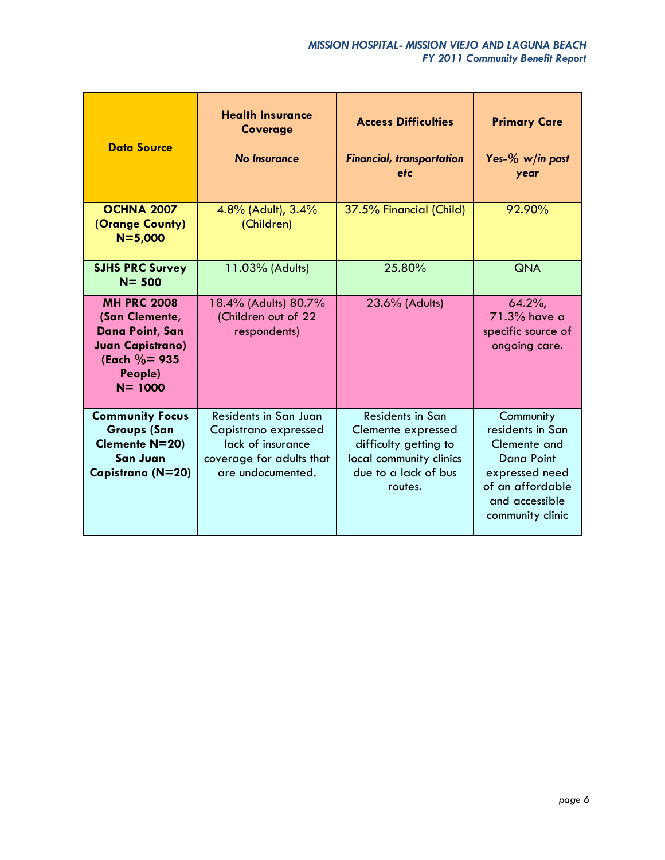| <b>Data Source</b>                                                                                                                     | <b>Health Insurance</b><br><b>Coverage</b>                                                                                 | <b>Access Difficulties</b>                                                                                                           | <b>Primary Care</b>                                                                                                                            |
|----------------------------------------------------------------------------------------------------------------------------------------|----------------------------------------------------------------------------------------------------------------------------|--------------------------------------------------------------------------------------------------------------------------------------|------------------------------------------------------------------------------------------------------------------------------------------------|
|                                                                                                                                        | <b>No Insurance</b>                                                                                                        | <b>Financial, transportation</b><br>etc                                                                                              | Yes-% w/in past<br>year                                                                                                                        |
| <b>OCHNA 2007</b><br>(Orange County)<br>$N = 5,000$                                                                                    | 4.8% (Adult), 3.4%<br>(Children)                                                                                           | 37.5% Financial (Child)                                                                                                              | 92.90%                                                                                                                                         |
| <b>SJHS PRC Survey</b><br>$N = 500$                                                                                                    | 11.03% (Adults)                                                                                                            | 25.80%                                                                                                                               | <b>QNA</b>                                                                                                                                     |
| <b>MH PRC 2008</b><br>(San Clemente,<br><b>Dana Point, San</b><br><b>Juan Capistrano)</b><br>(Each $\% = 935$<br>People)<br>$N = 1000$ | 18.4% (Adults) 80.7%<br>(Children out of 22<br>respondents)                                                                | 23.6% (Adults)                                                                                                                       | $64.2\%$<br>71.3% have a<br>specific source of<br>ongoing care.                                                                                |
| <b>Community Focus</b><br><b>Groups (San</b><br>Clemente N=20)<br>San Juan<br>Capistrano (N=20)                                        | <b>Residents in San Juan</b><br>Capistrano expressed<br>lack of insurance<br>coverage for adults that<br>are undocumented. | <b>Residents in San</b><br>Clemente expressed<br>difficulty getting to<br>local community clinics<br>due to a lack of bus<br>routes. | Community<br>residents in San<br>Clemente and<br><b>Dana Point</b><br>expressed need<br>of an affordable<br>and accessible<br>community clinic |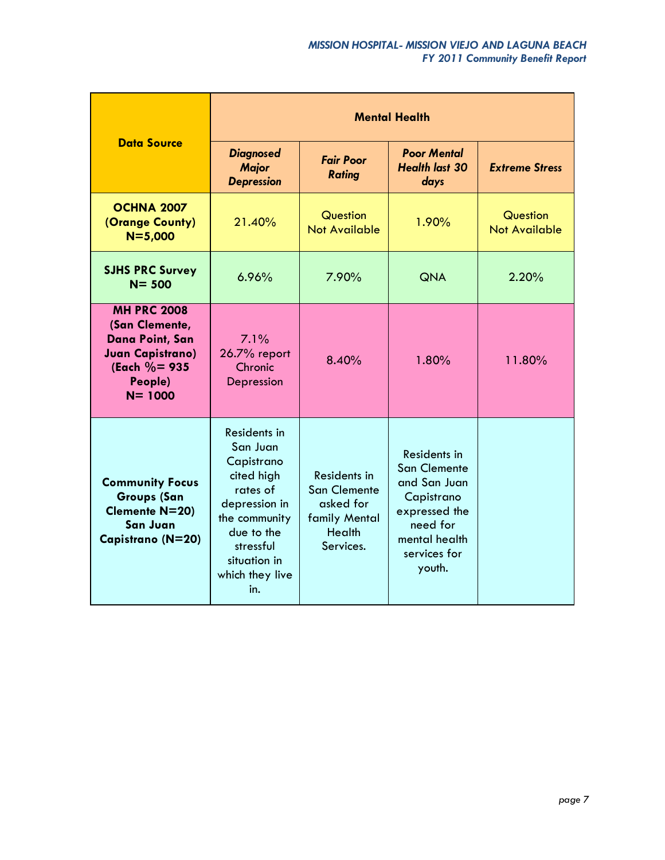|                                                                                                                                 | <b>Mental Health</b>                                                                                                                                                    |                                                                                                 |                                                                                                                                           |                                         |  |
|---------------------------------------------------------------------------------------------------------------------------------|-------------------------------------------------------------------------------------------------------------------------------------------------------------------------|-------------------------------------------------------------------------------------------------|-------------------------------------------------------------------------------------------------------------------------------------------|-----------------------------------------|--|
| <b>Data Source</b>                                                                                                              | <b>Diagnosed</b><br><b>Fair Poor</b><br><b>Major</b><br><b>Rating</b><br><b>Depression</b>                                                                              |                                                                                                 | <b>Poor Mental</b><br><b>Health last 30</b><br>days                                                                                       | <b>Extreme Stress</b>                   |  |
| <b>OCHNA 2007</b><br>(Orange County)<br>$N = 5,000$                                                                             | 21.40%                                                                                                                                                                  | Question<br><b>Not Available</b>                                                                |                                                                                                                                           | <b>Question</b><br><b>Not Available</b> |  |
| <b>SJHS PRC Survey</b><br>$N = 500$                                                                                             | 6.96%                                                                                                                                                                   | 7.90%<br><b>QNA</b>                                                                             |                                                                                                                                           | 2.20%                                   |  |
| <b>MH PRC 2008</b><br>(San Clemente,<br>Dana Point, San<br><b>Juan Capistrano)</b><br>(Each $\% = 935$<br>People)<br>$N = 1000$ | 7.1%<br>26.7% report<br>Chronic<br>Depression                                                                                                                           | 8.40%                                                                                           | 1.80%                                                                                                                                     | 11.80%                                  |  |
| <b>Community Focus</b><br><b>Groups (San</b><br><b>Clemente N=20)</b><br><b>San Juan</b><br>Capistrano (N=20)                   | Residents in<br>San Juan<br>Capistrano<br>cited high<br>rates of<br>depression in<br>the community<br>due to the<br>stressful<br>situation in<br>which they live<br>in. | Residents in<br><b>San Clemente</b><br>asked for<br>family Mental<br><b>Health</b><br>Services. | Residents in<br><b>San Clemente</b><br>and San Juan<br>Capistrano<br>expressed the<br>need for<br>mental health<br>services for<br>youth. |                                         |  |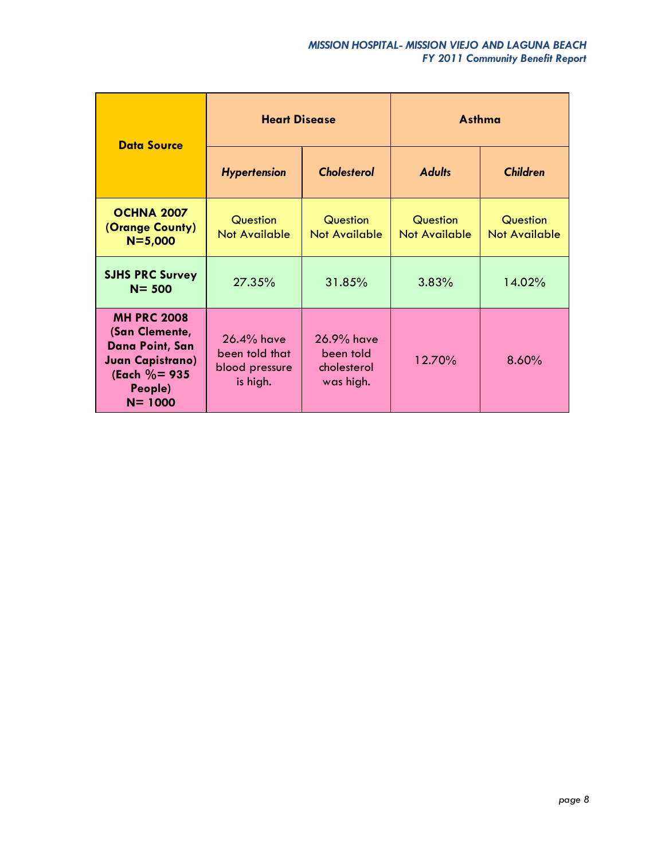| <b>Data Source</b>                                                                                                              | <b>Heart Disease</b>                                          |                                                     | <b>Asthma</b>                    |                                  |
|---------------------------------------------------------------------------------------------------------------------------------|---------------------------------------------------------------|-----------------------------------------------------|----------------------------------|----------------------------------|
|                                                                                                                                 | <b>Cholesterol</b><br><b>Hypertension</b>                     |                                                     | <b>Adults</b>                    | <b>Children</b>                  |
| <b>OCHNA 2007</b><br>(Orange County)<br>$N = 5,000$                                                                             | Question<br><b>Not Available</b>                              | Question<br><b>Not Available</b>                    | Question<br><b>Not Available</b> | Question<br><b>Not Available</b> |
| <b>SJHS PRC Survey</b><br>$N = 500$                                                                                             | 27.35%<br>31.85%                                              |                                                     | 3.83%                            | 14.02%                           |
| <b>MH PRC 2008</b><br>(San Clemente,<br>Dana Point, San<br><b>Juan Capistrano)</b><br>(Each $\% = 935$<br>People)<br>$N = 1000$ | $26.4\%$ have<br>been told that<br>blood pressure<br>is high. | 26.9% have<br>been told<br>cholesterol<br>was high. | 12.70%                           | 8.60%                            |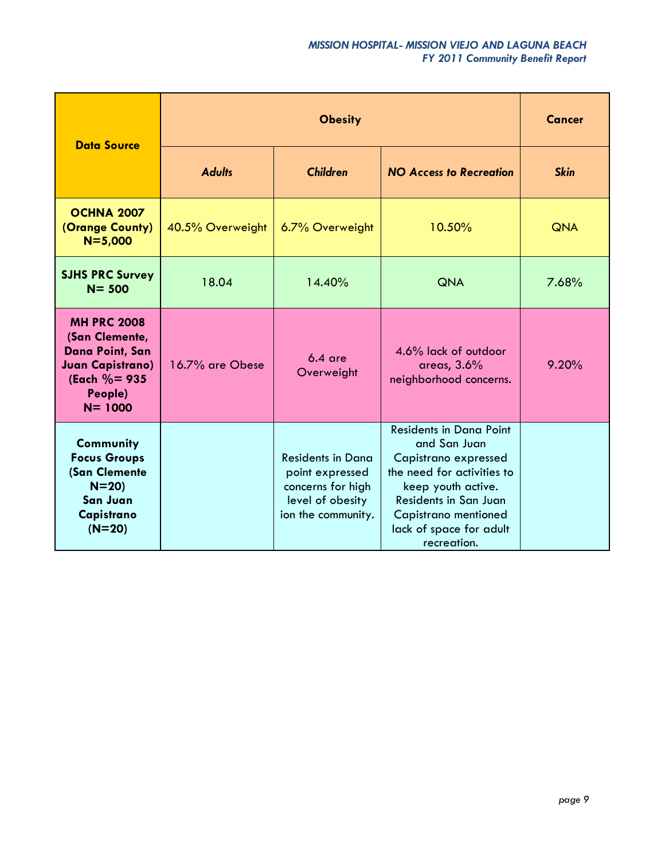### *MISSION HOSPITAL- MISSION VIEJO AND LAGUNA BEACH FY 2011 Community Benefit Report*

| <b>Data Source</b>                                                                                                              |                                  | <b>Cancer</b>                                                                                              |                                                                                                                                                                                                                       |             |
|---------------------------------------------------------------------------------------------------------------------------------|----------------------------------|------------------------------------------------------------------------------------------------------------|-----------------------------------------------------------------------------------------------------------------------------------------------------------------------------------------------------------------------|-------------|
|                                                                                                                                 | <b>Children</b><br><b>Adults</b> |                                                                                                            | <b>NO Access to Recreation</b>                                                                                                                                                                                        | <b>Skin</b> |
| <b>OCHNA 2007</b><br>(Orange County)<br>$N = 5,000$                                                                             | 40.5% Overweight                 | 6.7% Overweight                                                                                            | 10.50%                                                                                                                                                                                                                | <b>QNA</b>  |
| <b>SJHS PRC Survey</b><br>$N = 500$                                                                                             | 18.04                            | 14.40%                                                                                                     | <b>QNA</b>                                                                                                                                                                                                            | 7.68%       |
| <b>MH PRC 2008</b><br>(San Clemente,<br>Dana Point, San<br><b>Juan Capistrano)</b><br>(Each $\% = 935$<br>People)<br>$N = 1000$ | 16.7% are Obese                  | $6.4$ are<br>Overweight                                                                                    | 4.6% lack of outdoor<br>areas, 3.6%<br>neighborhood concerns.                                                                                                                                                         | 9.20%       |
| <b>Community</b><br><b>Focus Groups</b><br>(San Clemente<br>$N = 20$<br>San Juan<br>Capistrano<br>$(N=20)$                      |                                  | <b>Residents in Dana</b><br>point expressed<br>concerns for high<br>level of obesity<br>ion the community. | <b>Residents in Dana Point</b><br>and San Juan<br>Capistrano expressed<br>the need for activities to<br>keep youth active.<br>Residents in San Juan<br>Capistrano mentioned<br>lack of space for adult<br>recreation. |             |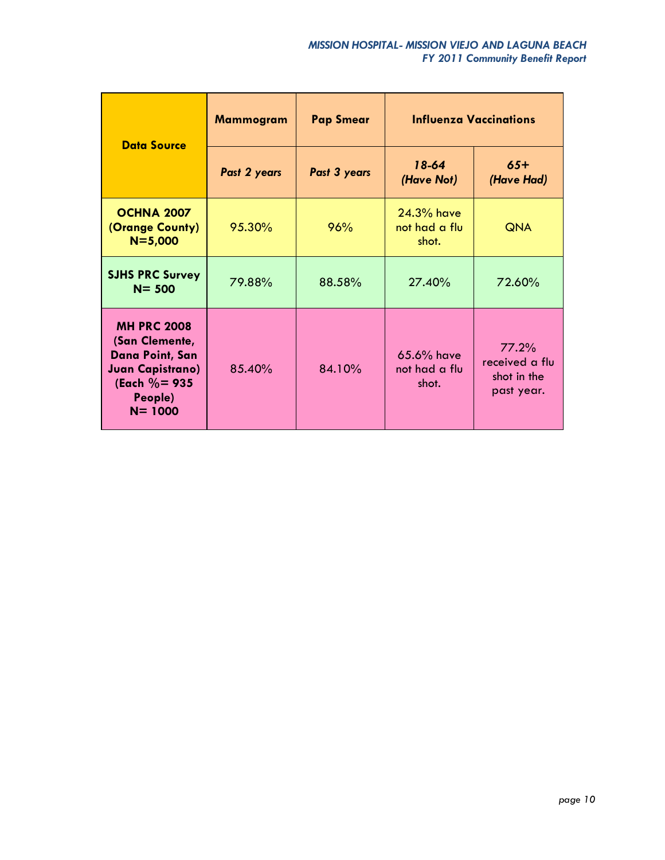| <b>Data Source</b>                                                                                                                     | <b>Mammogram</b> | <b>Influenza Vaccinations</b><br><b>Pap Smear</b> |                                        |                                                      |
|----------------------------------------------------------------------------------------------------------------------------------------|------------------|---------------------------------------------------|----------------------------------------|------------------------------------------------------|
|                                                                                                                                        | Past 2 years     | Past 3 years                                      | $18-64$<br>(Have Not)                  | $65+$<br>(Have Had)                                  |
| OCHNA 2007<br>(Orange County)<br>$N = 5,000$                                                                                           | 95.30%           | 96%                                               | $24.3%$ have<br>not had a flu<br>shot. | <b>QNA</b>                                           |
| <b>SJHS PRC Survey</b><br>$N = 500$                                                                                                    | 79.88%           | 88.58%                                            | 27.40%                                 | 72.60%                                               |
| <b>MH PRC 2008</b><br>(San Clemente,<br><b>Dana Point, San</b><br><b>Juan Capistrano)</b><br>(Each $\% = 935$<br>People)<br>$N = 1000$ | 85.40%           | 84.10%                                            | 65.6% have<br>not had a flu<br>shot.   | 77.2%<br>received a flu<br>shot in the<br>past year. |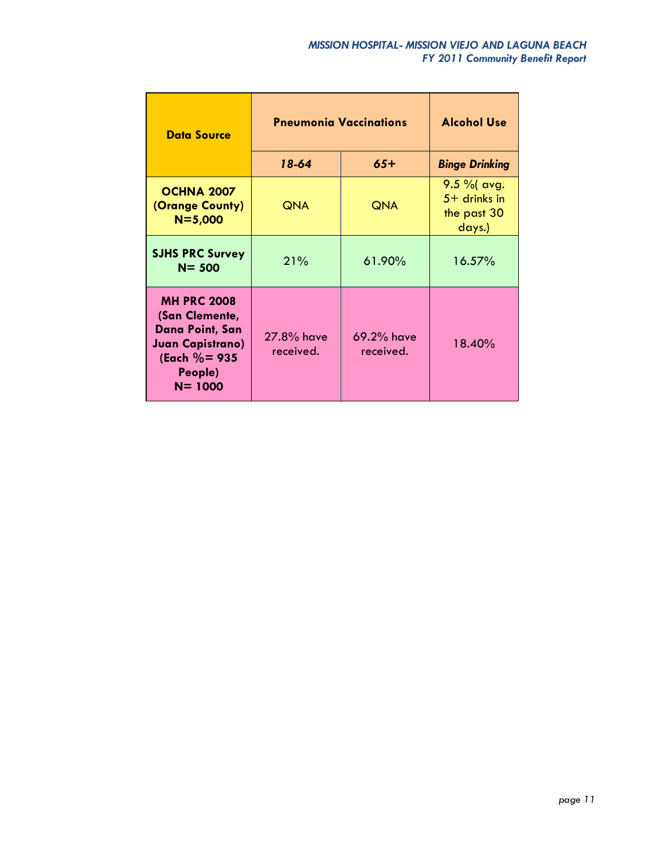| <b>Data Source</b>                                                                                                              | <b>Pneumonia Vaccinations</b> | <b>Alcohol Use</b>      |                                                          |
|---------------------------------------------------------------------------------------------------------------------------------|-------------------------------|-------------------------|----------------------------------------------------------|
|                                                                                                                                 | 18-64<br>$65+$                |                         | <b>Binge Drinking</b>                                    |
| <b>OCHNA 2007</b><br>(Orange County)<br>$N = 5,000$                                                                             | <b>QNA</b>                    | <b>QNA</b>              | $9.5 \%$ avg.<br>$5+$ drinks in<br>the past 30<br>days.) |
| <b>SJHS PRC Survey</b><br>$N = 500$                                                                                             | 21%                           | 61.90%                  | 16.57%                                                   |
| <b>MH PRC 2008</b><br>(San Clemente,<br>Dana Point, San<br><b>Juan Capistrano)</b><br>(Each $\% = 935$<br>People)<br>$N = 1000$ | 27.8% have<br>received.       | 69.2% have<br>received. | 18.40%                                                   |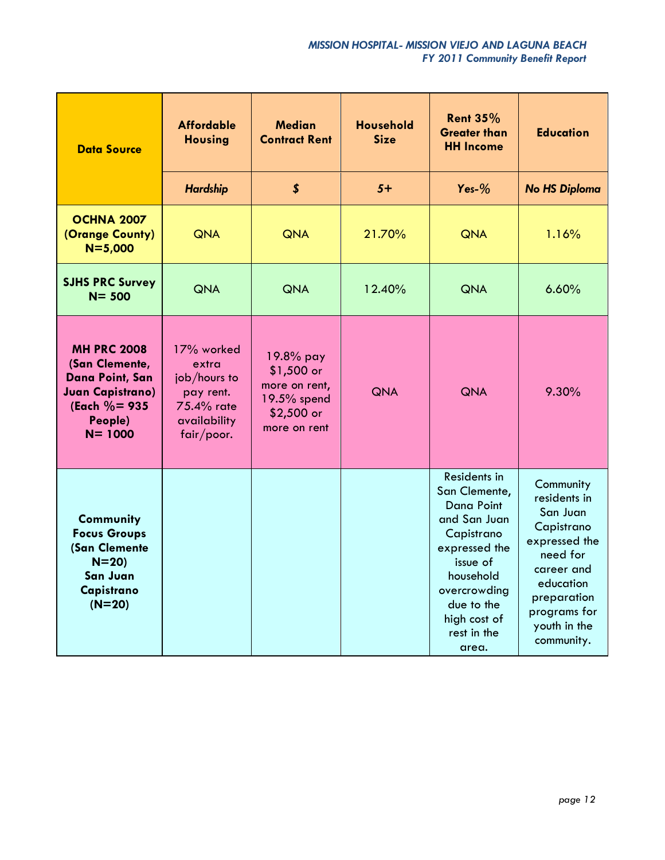| <b>Data Source</b>                                                                                                          | <b>Affordable</b><br><b>Housing</b>                                                          | <b>Median</b><br><b>Contract Rent</b>                                                   | <b>Household</b><br><b>Size</b> | <b>Rent 35%</b><br><b>Greater than</b><br><b>HH Income</b>                                                                                                                                       | <b>Education</b>                                                                                                                                                         |
|-----------------------------------------------------------------------------------------------------------------------------|----------------------------------------------------------------------------------------------|-----------------------------------------------------------------------------------------|---------------------------------|--------------------------------------------------------------------------------------------------------------------------------------------------------------------------------------------------|--------------------------------------------------------------------------------------------------------------------------------------------------------------------------|
|                                                                                                                             | <b>Hardship</b>                                                                              | $\boldsymbol{s}$                                                                        | $5+$                            | Yes- $%$                                                                                                                                                                                         | <b>No HS Diploma</b>                                                                                                                                                     |
| <b>OCHNA 2007</b><br>(Orange County)<br>$N = 5,000$                                                                         | <b>QNA</b>                                                                                   | <b>QNA</b>                                                                              | 21.70%                          | <b>QNA</b>                                                                                                                                                                                       | 1.16%                                                                                                                                                                    |
| <b>SJHS PRC Survey</b><br>$N = 500$                                                                                         | <b>QNA</b>                                                                                   | <b>QNA</b>                                                                              | 12.40%                          | <b>QNA</b>                                                                                                                                                                                       | 6.60%                                                                                                                                                                    |
| <b>MH PRC 2008</b><br>(San Clemente,<br>Dana Point, San<br><b>Juan Capistrano)</b><br>(Each %= 935<br>People)<br>$N = 1000$ | 17% worked<br>extra<br>job/hours to<br>pay rent.<br>75.4% rate<br>availability<br>fair/poor. | 19.8% pay<br>$$1,500$ or<br>more on rent,<br>19.5% spend<br>$$2,500$ or<br>more on rent | <b>QNA</b>                      | <b>QNA</b>                                                                                                                                                                                       | 9.30%                                                                                                                                                                    |
| <b>Community</b><br><b>Focus Groups</b><br>(San Clemente<br>$N = 20$<br>San Juan<br>Capistrano<br>$(N=20)$                  |                                                                                              |                                                                                         |                                 | Residents in<br>San Clemente,<br><b>Dana Point</b><br>and San Juan<br>Capistrano<br>expressed the<br>issue of<br>household<br>overcrowding<br>due to the<br>high cost of<br>rest in the<br>area. | Community<br>residents in<br>San Juan<br>Capistrano<br>expressed the<br>need for<br>career and<br>education<br>preparation<br>programs for<br>youth in the<br>community. |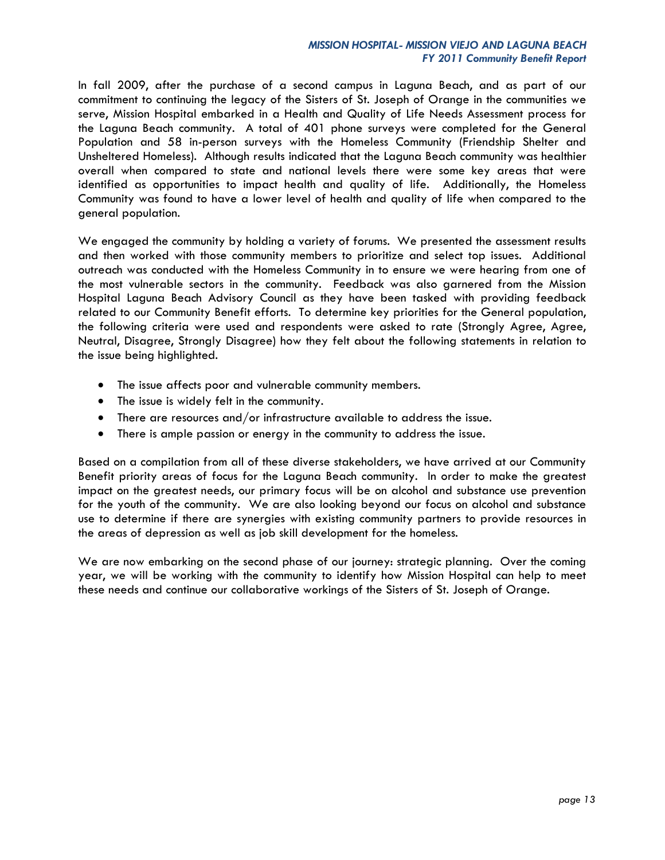In fall 2009, after the purchase of a second campus in Laguna Beach, and as part of our commitment to continuing the legacy of the Sisters of St. Joseph of Orange in the communities we serve, Mission Hospital embarked in a Health and Quality of Life Needs Assessment process for the Laguna Beach community. A total of 401 phone surveys were completed for the General Population and 58 in-person surveys with the Homeless Community (Friendship Shelter and Unsheltered Homeless). Although results indicated that the Laguna Beach community was healthier overall when compared to state and national levels there were some key areas that were identified as opportunities to impact health and quality of life. Additionally, the Homeless Community was found to have a lower level of health and quality of life when compared to the general population.

We engaged the community by holding a variety of forums. We presented the assessment results and then worked with those community members to prioritize and select top issues. Additional outreach was conducted with the Homeless Community in to ensure we were hearing from one of the most vulnerable sectors in the community. Feedback was also garnered from the Mission Hospital Laguna Beach Advisory Council as they have been tasked with providing feedback related to our Community Benefit efforts. To determine key priorities for the General population, the following criteria were used and respondents were asked to rate (Strongly Agree, Agree, Neutral, Disagree, Strongly Disagree) how they felt about the following statements in relation to the issue being highlighted.

- The issue affects poor and vulnerable community members.
- The issue is widely felt in the community.
- There are resources and/or infrastructure available to address the issue.
- There is ample passion or energy in the community to address the issue.

Based on a compilation from all of these diverse stakeholders, we have arrived at our Community Benefit priority areas of focus for the Laguna Beach community. In order to make the greatest impact on the greatest needs, our primary focus will be on alcohol and substance use prevention for the youth of the community. We are also looking beyond our focus on alcohol and substance use to determine if there are synergies with existing community partners to provide resources in the areas of depression as well as job skill development for the homeless.

We are now embarking on the second phase of our journey: strategic planning. Over the coming year, we will be working with the community to identify how Mission Hospital can help to meet these needs and continue our collaborative workings of the Sisters of St. Joseph of Orange.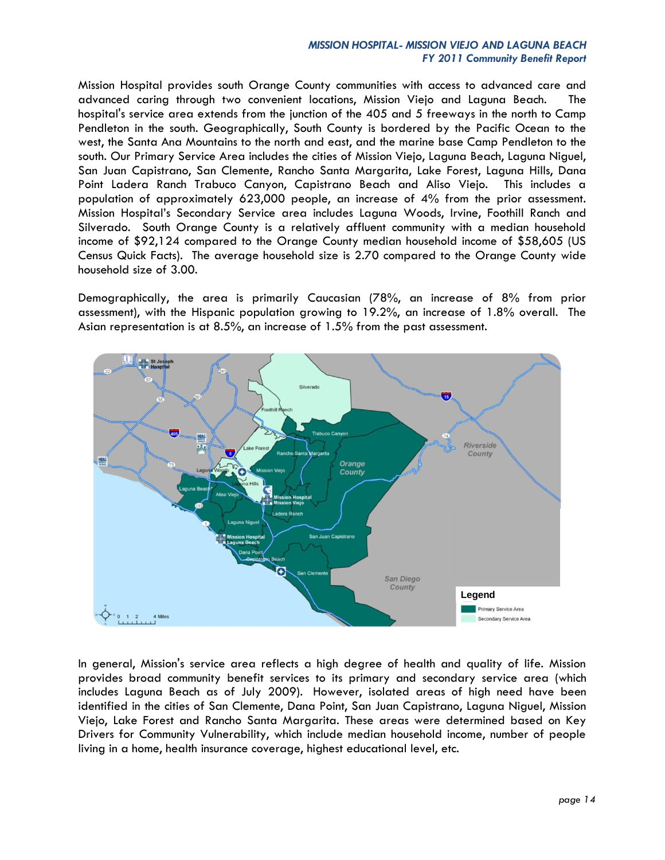#### *MISSION HOSPITAL- MISSION VIEJO AND LAGUNA BEACH FY 2011 Community Benefit Report*

Mission Hospital provides south Orange County communities with access to advanced care and advanced caring through two convenient locations, Mission Viejo and Laguna Beach. The hospital's service area extends from the junction of the 405 and 5 freeways in the north to Camp Pendleton in the south. Geographically, South County is bordered by the Pacific Ocean to the west, the Santa Ana Mountains to the north and east, and the marine base Camp Pendleton to the south. Our Primary Service Area includes the cities of Mission Viejo, Laguna Beach, Laguna Niguel, San Juan Capistrano, San Clemente, Rancho Santa Margarita, Lake Forest, Laguna Hills, Dana Point Ladera Ranch Trabuco Canyon, Capistrano Beach and Aliso Viejo. This includes a population of approximately 623,000 people, an increase of 4% from the prior assessment. Mission Hospital's Secondary Service area includes Laguna Woods, Irvine, Foothill Ranch and Silverado. South Orange County is a relatively affluent community with a median household income of \$92,124 compared to the Orange County median household income of \$58,605 (US Census Quick Facts). The average household size is 2.70 compared to the Orange County wide household size of 3.00.

Demographically, the area is primarily Caucasian (78%, an increase of 8% from prior assessment), with the Hispanic population growing to 19.2%, an increase of 1.8% overall. The Asian representation is at 8.5%, an increase of 1.5% from the past assessment.



In general, Mission's service area reflects a high degree of health and quality of life. Mission provides broad community benefit services to its primary and secondary service area (which includes Laguna Beach as of July 2009). However, isolated areas of high need have been identified in the cities of San Clemente, Dana Point, San Juan Capistrano, Laguna Niguel, Mission Viejo, Lake Forest and Rancho Santa Margarita. These areas were determined based on Key Drivers for Community Vulnerability, which include median household income, number of people living in a home, health insurance coverage, highest educational level, etc.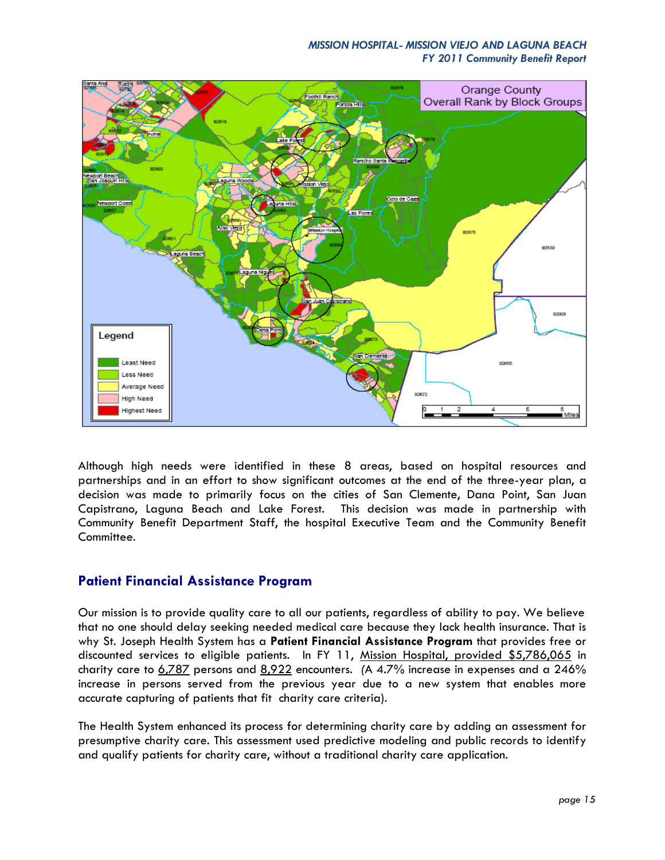#### *MISSION HOSPITAL- MISSION VIEJO AND LAGUNA BEACH FY 2011 Community Benefit Report*



Although high needs were identified in these 8 areas, based on hospital resources and partnerships and in an effort to show significant outcomes at the end of the three-year plan, a decision was made to primarily focus on the cities of San Clemente, Dana Point, San Juan Capistrano, Laguna Beach and Lake Forest. This decision was made in partnership with Community Benefit Department Staff, the hospital Executive Team and the Community Benefit Committee.

### **Patient Financial Assistance Program**

Our mission is to provide quality care to all our patients, regardless of ability to pay. We believe that no one should delay seeking needed medical care because they lack health insurance. That is why St. Joseph Health System has a **Patient Financial Assistance Program** that provides free or discounted services to eligible patients. In FY 11, Mission Hospital, provided \$5,786,065 in charity care to 6,787 persons and 8,922 encounters. *(*A 4.7% increase in expenses and a 246% increase in persons served from the previous year due to a new system that enables more accurate capturing of patients that fit charity care criteria).

The Health System enhanced its process for determining charity care by adding an assessment for presumptive charity care. This assessment used predictive modeling and public records to identify and qualify patients for charity care, without a traditional charity care application.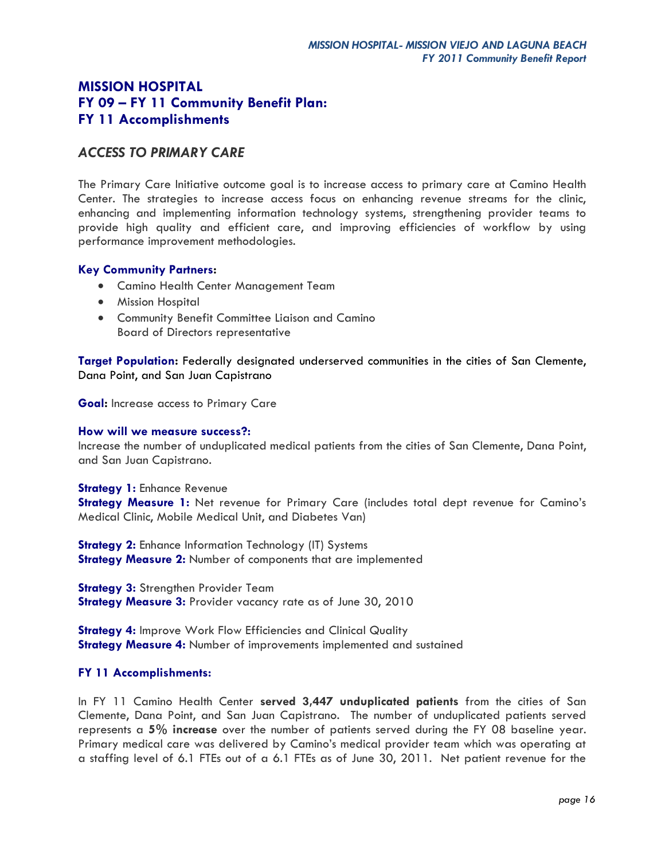## *ACCESS TO PRIMARY CARE*

The Primary Care Initiative outcome goal is to increase access to primary care at Camino Health Center. The strategies to increase access focus on enhancing revenue streams for the clinic, enhancing and implementing information technology systems, strengthening provider teams to provide high quality and efficient care, and improving efficiencies of workflow by using performance improvement methodologies.

#### **Key Community Partners:**

- Camino Health Center Management Team
- **•** Mission Hospital
- Community Benefit Committee Liaison and Camino Board of Directors representative

**Target Population:** Federally designated underserved communities in the cities of San Clemente, Dana Point, and San Juan Capistrano

**Goal:** Increase access to Primary Care

#### **How will we measure success?:**

Increase the number of unduplicated medical patients from the cities of San Clemente, Dana Point, and San Juan Capistrano.

**Strategy 1:** Enhance Revenue **Strategy Measure 1:** Net revenue for Primary Care (includes total dept revenue for Camino's Medical Clinic, Mobile Medical Unit, and Diabetes Van)

**Strategy 2:** Enhance Information Technology (IT) Systems **Strategy Measure 2:** Number of components that are implemented

**Strategy 3: Strengthen Provider Team Strategy Measure 3:** Provider vacancy rate as of June 30, 2010

**Strategy 4:** Improve Work Flow Efficiencies and Clinical Quality **Strategy Measure 4:** Number of improvements implemented and sustained

#### **FY 11 Accomplishments:**

In FY 11 Camino Health Center **served 3,447 unduplicated patients** from the cities of San Clemente, Dana Point, and San Juan Capistrano. The number of unduplicated patients served represents a **5% increase** over the number of patients served during the FY 08 baseline year. Primary medical care was delivered by Camino's medical provider team which was operating at a staffing level of 6.1 FTEs out of a 6.1 FTEs as of June 30, 2011. Net patient revenue for the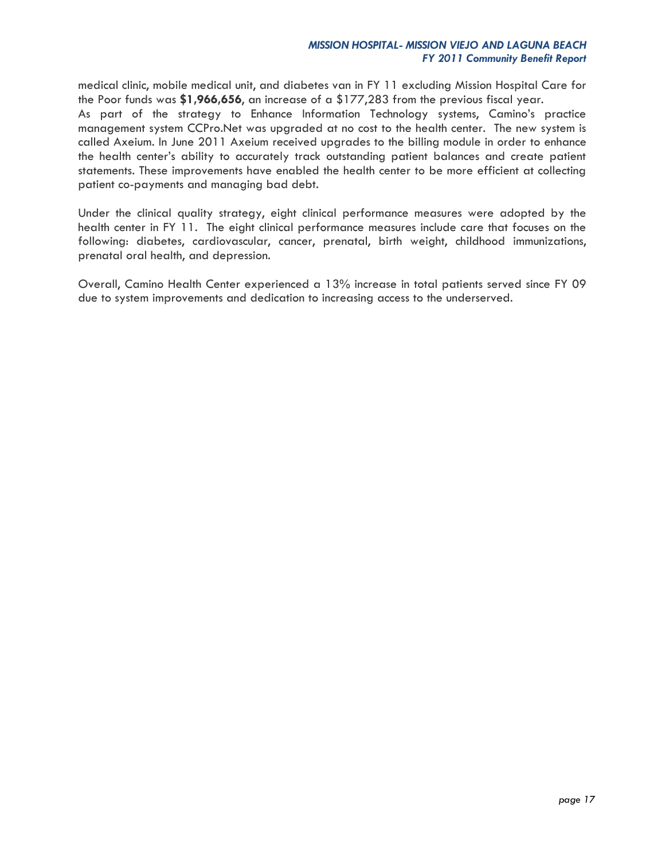medical clinic, mobile medical unit, and diabetes van in FY 11 excluding Mission Hospital Care for the Poor funds was **\$1,966,656**, an increase of a \$177,283 from the previous fiscal year.

As part of the strategy to Enhance Information Technology systems, Camino's practice management system CCPro.Net was upgraded at no cost to the health center. The new system is called Axeium. In June 2011 Axeium received upgrades to the billing module in order to enhance the health center's ability to accurately track outstanding patient balances and create patient statements. These improvements have enabled the health center to be more efficient at collecting patient co-payments and managing bad debt.

Under the clinical quality strategy, eight clinical performance measures were adopted by the health center in FY 11. The eight clinical performance measures include care that focuses on the following: diabetes, cardiovascular, cancer, prenatal, birth weight, childhood immunizations, prenatal oral health, and depression.

Overall, Camino Health Center experienced a 13% increase in total patients served since FY 09 due to system improvements and dedication to increasing access to the underserved.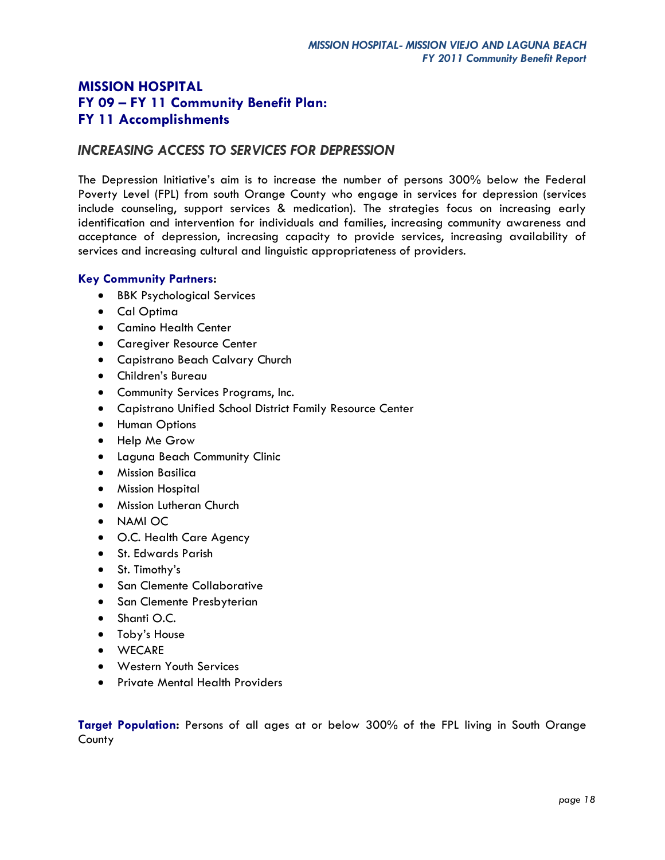## *INCREASING ACCESS TO SERVICES FOR DEPRESSION*

The Depression Initiative's aim is to increase the number of persons 300% below the Federal Poverty Level (FPL) from south Orange County who engage in services for depression (services include counseling, support services & medication). The strategies focus on increasing early identification and intervention for individuals and families, increasing community awareness and acceptance of depression, increasing capacity to provide services, increasing availability of services and increasing cultural and linguistic appropriateness of providers.

### **Key Community Partners:**

- BBK Psychological Services
- Cal Optima
- Camino Health Center
- Caregiver Resource Center
- Capistrano Beach Calvary Church
- Children's Bureau
- Community Services Programs, Inc.
- Capistrano Unified School District Family Resource Center
- **•** Human Options
- Help Me Grow
- Laguna Beach Community Clinic
- Mission Basilica
- **•** Mission Hospital
- **•** Mission Lutheran Church
- NAMI OC
- O.C. Health Care Agency
- St. Edwards Parish
- St. Timothy's
- **•** San Clemente Collaborative
- San Clemente Presbyterian
- Shanti O.C.
- Toby's House
- WECARE
- Western Youth Services
- **•** Private Mental Health Providers

**Target Population:** Persons of all ages at or below 300% of the FPL living in South Orange County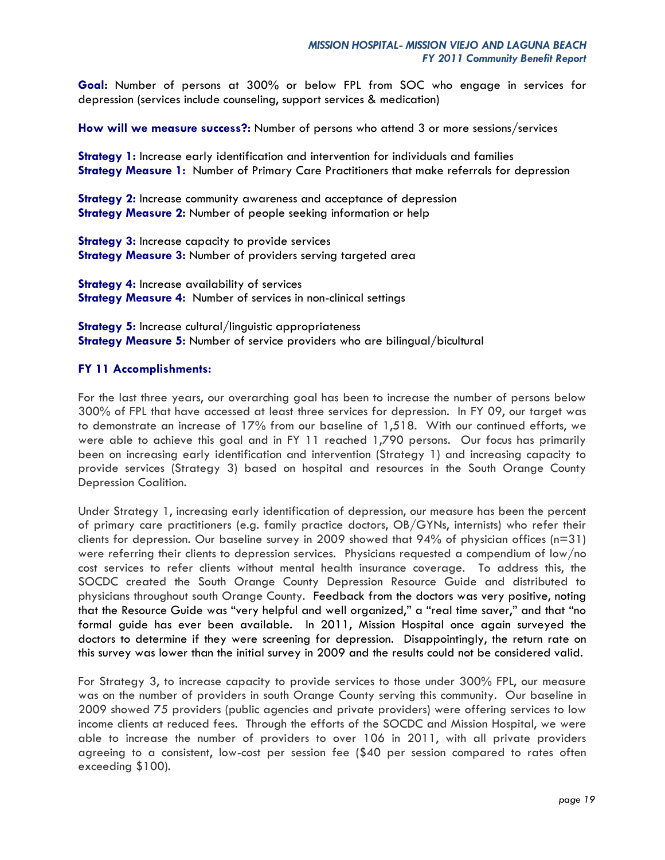**Goal:** Number of persons at 300% or below FPL from SOC who engage in services for depression (services include counseling, support services & medication)

**How will we measure success?:** Number of persons who attend 3 or more sessions/services

**Strategy 1:** Increase early identification and intervention for individuals and families **Strategy Measure 1:** Number of Primary Care Practitioners that make referrals for depression

**Strategy 2:** Increase community awareness and acceptance of depression **Strategy Measure 2:** Number of people seeking information or help

**Strategy 3:** Increase capacity to provide services **Strategy Measure 3:** Number of providers serving targeted area

**Strategy 4:** Increase availability of services **Strategy Measure 4:** Number of services in non-clinical settings

**Strategy 5:** Increase cultural/linguistic appropriateness **Strategy Measure 5:** Number of service providers who are bilingual/bicultural

#### **FY 11 Accomplishments:**

For the last three years, our overarching goal has been to increase the number of persons below 300% of FPL that have accessed at least three services for depression. In FY 09, our target was to demonstrate an increase of 17% from our baseline of 1,518. With our continued efforts, we were able to achieve this goal and in FY 11 reached 1,790 persons. Our focus has primarily been on increasing early identification and intervention (Strategy 1) and increasing capacity to provide services (Strategy 3) based on hospital and resources in the South Orange County Depression Coalition.

Under Strategy 1, increasing early identification of depression, our measure has been the percent of primary care practitioners (e.g. family practice doctors, OB/GYNs, internists) who refer their clients for depression. Our baseline survey in 2009 showed that 94% of physician offices (n=31) were referring their clients to depression services. Physicians requested a compendium of low/no cost services to refer clients without mental health insurance coverage. To address this, the SOCDC created the South Orange County Depression Resource Guide and distributed to physicians throughout south Orange County. Feedback from the doctors was very positive, noting that the Resource Guide was "very helpful and well organized," a "real time saver," and that "no formal guide has ever been available. In 2011, Mission Hospital once again surveyed the doctors to determine if they were screening for depression. Disappointingly, the return rate on this survey was lower than the initial survey in 2009 and the results could not be considered valid.

For Strategy 3, to increase capacity to provide services to those under 300% FPL, our measure was on the number of providers in south Orange County serving this community. Our baseline in 2009 showed 75 providers (public agencies and private providers) were offering services to low income clients at reduced fees. Through the efforts of the SOCDC and Mission Hospital, we were able to increase the number of providers to over 106 in 2011, with all private providers agreeing to a consistent, low-cost per session fee (\$40 per session compared to rates often exceeding \$100).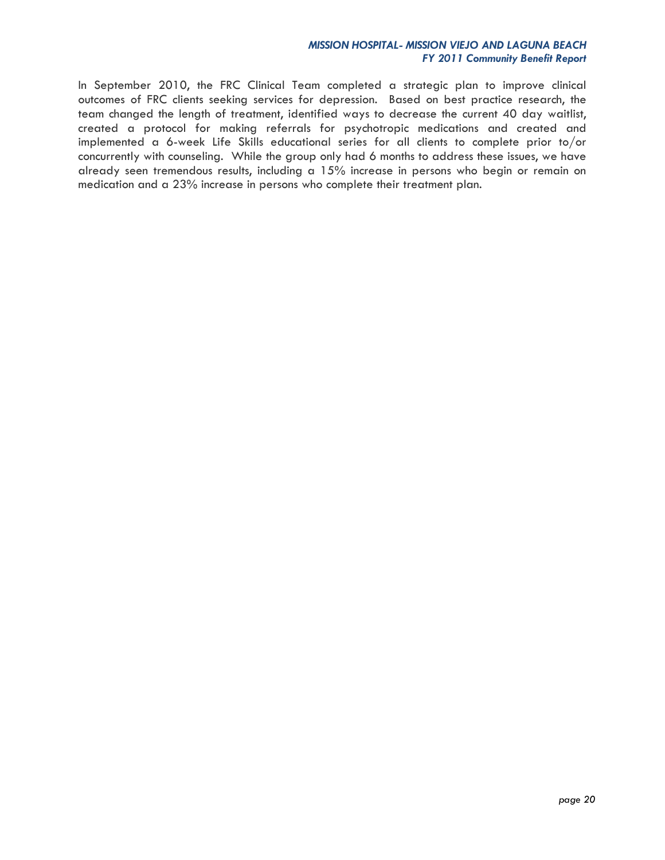#### *MISSION HOSPITAL- MISSION VIEJO AND LAGUNA BEACH FY 2011 Community Benefit Report*

In September 2010, the FRC Clinical Team completed a strategic plan to improve clinical outcomes of FRC clients seeking services for depression. Based on best practice research, the team changed the length of treatment, identified ways to decrease the current 40 day waitlist, created a protocol for making referrals for psychotropic medications and created and implemented a 6-week Life Skills educational series for all clients to complete prior to/or concurrently with counseling. While the group only had 6 months to address these issues, we have already seen tremendous results, including a 15% increase in persons who begin or remain on medication and a 23% increase in persons who complete their treatment plan.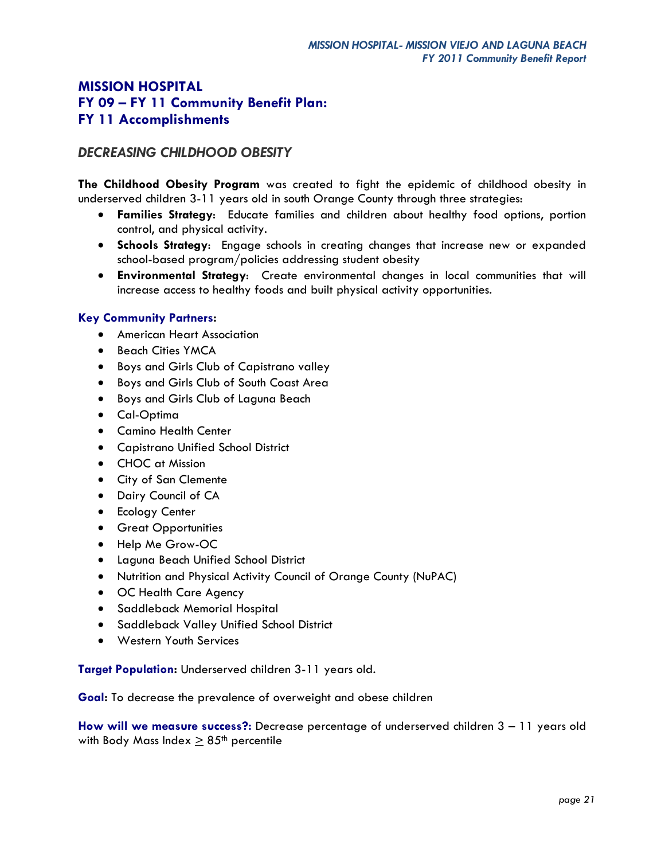## *DECREASING CHILDHOOD OBESITY*

**The Childhood Obesity Program** was created to fight the epidemic of childhood obesity in underserved children 3-11 years old in south Orange County through three strategies:

- **Families Strategy**: Educate families and children about healthy food options, portion control, and physical activity.
- **Schools Strategy**: Engage schools in creating changes that increase new or expanded school-based program/policies addressing student obesity
- **Environmental Strategy**: Create environmental changes in local communities that will increase access to healthy foods and built physical activity opportunities.

### **Key Community Partners:**

- American Heart Association
- Beach Cities YMCA
- **•** Boys and Girls Club of Capistrano valley
- Boys and Girls Club of South Coast Area
- Boys and Girls Club of Laguna Beach
- Cal-Optima
- Camino Health Center
- Capistrano Unified School District
- CHOC at Mission
- City of San Clemente
- Dairy Council of CA
- **•** Ecology Center
- **•** Great Opportunities
- Help Me Grow-OC
- Laguna Beach Unified School District
- Nutrition and Physical Activity Council of Orange County (NuPAC)
- OC Health Care Agency
- Saddleback Memorial Hospital
- Saddleback Valley Unified School District
- Western Youth Services

**Target Population:** Underserved children 3-11 years old.

**Goal:** To decrease the prevalence of overweight and obese children

**How will we measure success?:** Decrease percentage of underserved children 3 – 11 years old with Body Mass Index  $\geq$  85<sup>th</sup> percentile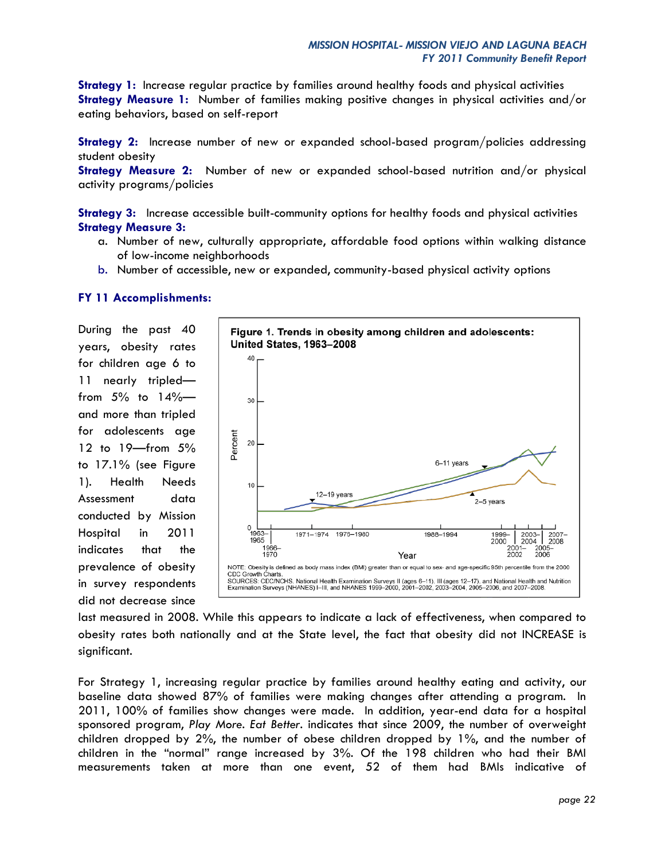**Strategy 1:** Increase regular practice by families around healthy foods and physical activities **Strategy Measure 1:** Number of families making positive changes in physical activities and/or eating behaviors, based on self-report

**Strategy 2:** Increase number of new or expanded school-based program/policies addressing student obesity

**Strategy Measure 2:** Number of new or expanded school-based nutrition and/or physical activity programs/policies

**Strategy 3:** Increase accessible built-community options for healthy foods and physical activities **Strategy Measure 3:** 

- a. Number of new, culturally appropriate, affordable food options within walking distance of low-income neighborhoods
- b. Number of accessible, new or expanded, community-based physical activity options

#### **FY 11 Accomplishments:**

During the past 40 years, obesity rates for children age 6 to 11 nearly tripled from  $5\%$  to  $14\%$  and more than tripled for adolescents age 12 to 19—from 5% to 17.1% (see Figure 1). Health Needs Assessment data conducted by Mission Hospital in 2011 indicates that the prevalence of obesity in survey respondents did not decrease since



last measured in 2008. While this appears to indicate a lack of effectiveness, when compared to obesity rates both nationally and at the State level, the fact that obesity did not INCREASE is significant.

For Strategy 1, increasing regular practice by families around healthy eating and activity, our baseline data showed 87% of families were making changes after attending a program. In 2011, 100% of families show changes were made. In addition, year-end data for a hospital sponsored program, *Play More. Eat Better.* indicates that since 2009, the number of overweight children dropped by 2%, the number of obese children dropped by 1%, and the number of children in the "normal" range increased by 3%. Of the 198 children who had their BMI measurements taken at more than one event, 52 of them had BMIs indicative of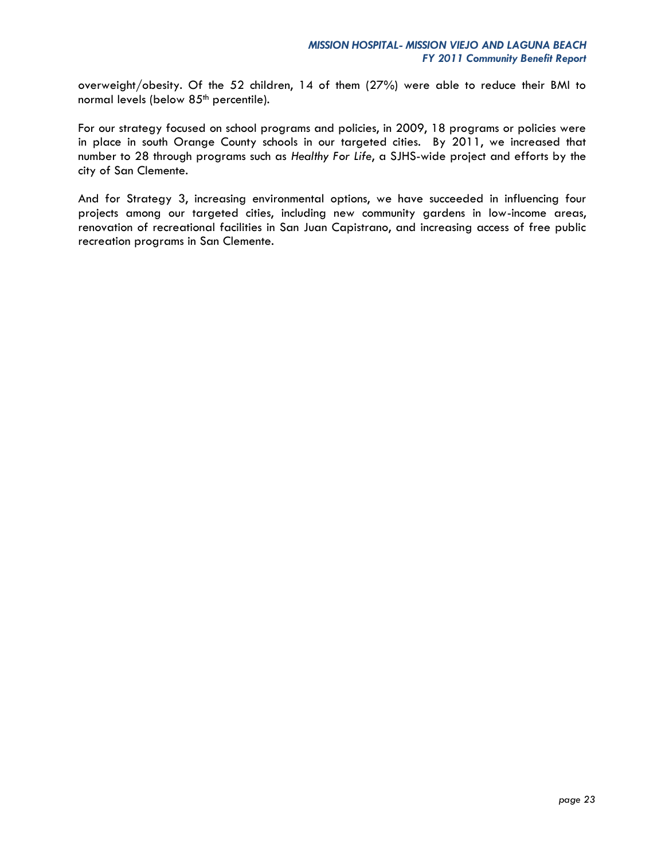overweight/obesity. Of the 52 children, 14 of them (27%) were able to reduce their BMI to normal levels (below 85<sup>th</sup> percentile).

For our strategy focused on school programs and policies, in 2009, 18 programs or policies were in place in south Orange County schools in our targeted cities. By 2011, we increased that number to 28 through programs such as *Healthy For Life*, a SJHS-wide project and efforts by the city of San Clemente.

And for Strategy 3, increasing environmental options, we have succeeded in influencing four projects among our targeted cities, including new community gardens in low-income areas, renovation of recreational facilities in San Juan Capistrano, and increasing access of free public recreation programs in San Clemente.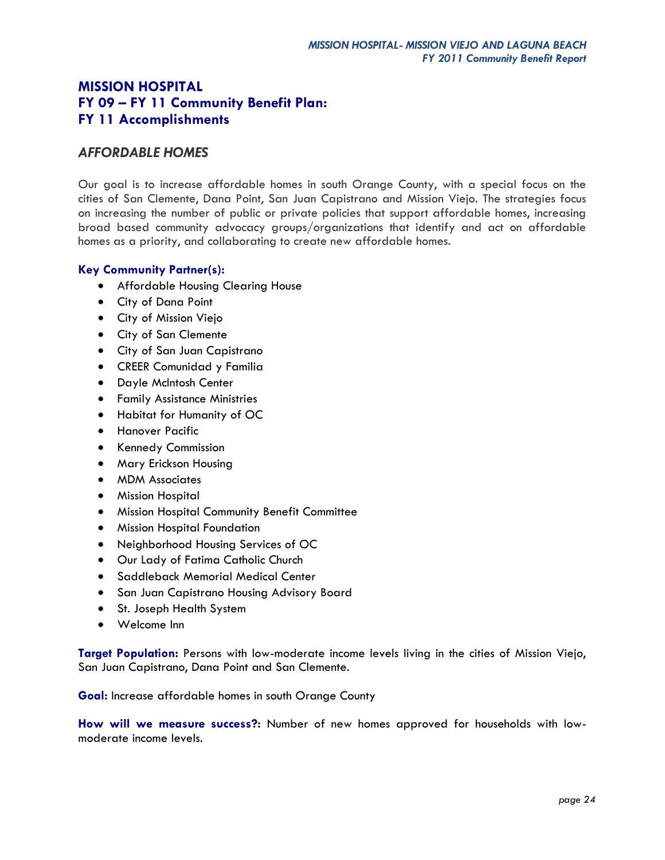### *AFFORDABLE HOMES*

Our goal is to increase affordable homes in south Orange County, with a special focus on the cities of San Clemente, Dana Point, San Juan Capistrano and Mission Viejo. The strategies focus on increasing the number of public or private policies that support affordable homes, increasing broad based community advocacy groups/organizations that identify and act on affordable homes as a priority, and collaborating to create new affordable homes.

### **Key Community Partner(s):**

- Affordable Housing Clearing House
- City of Dana Point
- City of Mission Viejo
- City of San Clemente
- City of San Juan Capistrano
- CREER Comunidad y Familia
- Dayle McIntosh Center
- Family Assistance Ministries
- Habitat for Humanity of OC
- **•** Hanover Pacific
- Kennedy Commission
- Mary Erickson Housing
- MDM Associates
- Mission Hospital
- Mission Hospital Community Benefit Committee
- Mission Hospital Foundation
- Neighborhood Housing Services of OC
- Our Lady of Fatima Catholic Church
- **•** Saddleback Memorial Medical Center
- **San Juan Capistrano Housing Advisory Board**
- St. Joseph Health System
- Welcome Inn

**Target Population:** Persons with low-moderate income levels living in the cities of Mission Viejo, San Juan Capistrano, Dana Point and San Clemente.

**Goal:** Increase affordable homes in south Orange County

**How will we measure success?:** Number of new homes approved for households with lowmoderate income levels.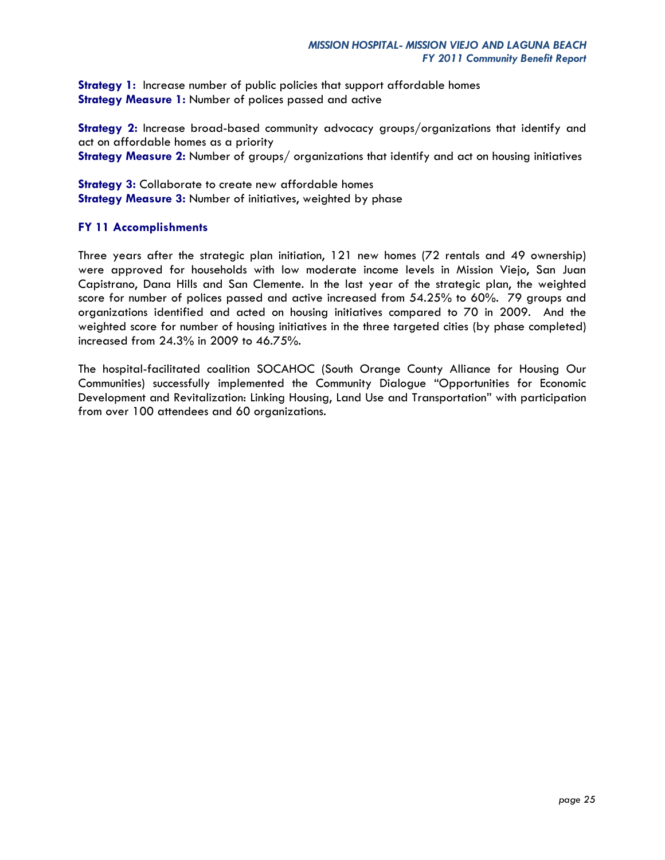**Strategy 1:** Increase number of public policies that support affordable homes **Strategy Measure 1:** Number of polices passed and active

**Strategy 2:** Increase broad-based community advocacy groups/organizations that identify and act on affordable homes as a priority **Strategy Measure 2:** Number of groups/ organizations that identify and act on housing initiatives

**Strategy 3:** Collaborate to create new affordable homes **Strategy Measure 3: Number of initiatives, weighted by phase** 

### **FY 11 Accomplishments**

Three years after the strategic plan initiation, 121 new homes (72 rentals and 49 ownership) were approved for households with low moderate income levels in Mission Viejo, San Juan Capistrano, Dana Hills and San Clemente. In the last year of the strategic plan, the weighted score for number of polices passed and active increased from 54.25% to 60%. 79 groups and organizations identified and acted on housing initiatives compared to 70 in 2009. And the weighted score for number of housing initiatives in the three targeted cities (by phase completed) increased from 24.3% in 2009 to 46.75%.

The hospital-facilitated coalition SOCAHOC (South Orange County Alliance for Housing Our Communities) successfully implemented the Community Dialogue "Opportunities for Economic Development and Revitalization: Linking Housing, Land Use and Transportation" with participation from over 100 attendees and 60 organizations.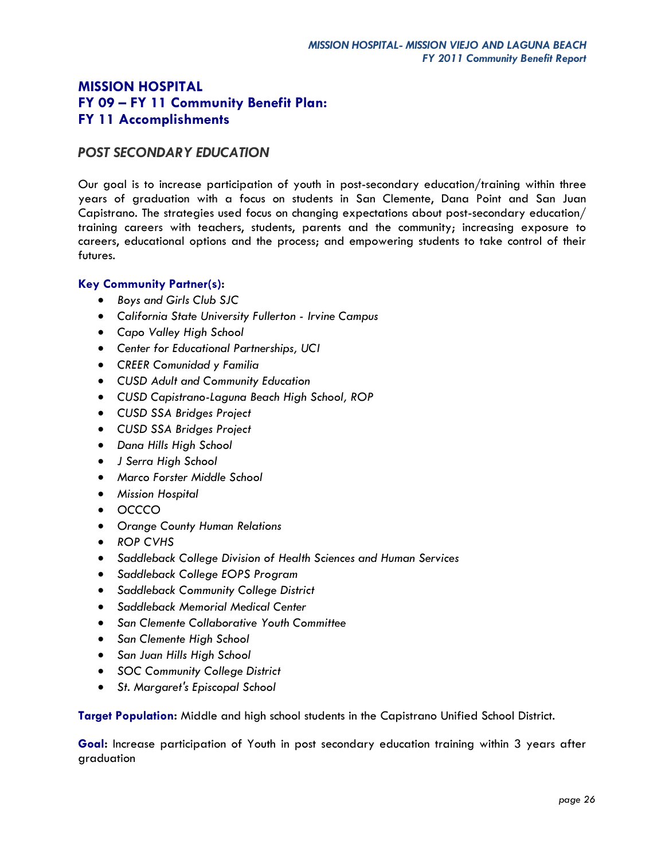## *POST SECONDARY EDUCATION*

Our goal is to increase participation of youth in post-secondary education/training within three years of graduation with a focus on students in San Clemente, Dana Point and San Juan Capistrano. The strategies used focus on changing expectations about post-secondary education/ training careers with teachers, students, parents and the community; increasing exposure to careers, educational options and the process; and empowering students to take control of their futures.

### **Key Community Partner(s):**

- *Boys and Girls Club SJC*
- *California State University Fullerton - Irvine Campus*
- *Capo Valley High School*
- *Center for Educational Partnerships, UCI*
- *CREER Comunidad y Familia*
- *CUSD Adult and Community Education*
- *CUSD Capistrano-Laguna Beach High School, ROP*
- *CUSD SSA Bridges Project*
- *CUSD SSA Bridges Project*
- *Dana Hills High School*
- *J Serra High School*
- *Marco Forster Middle School*
- *Mission Hospital*
- *OCCCO*
- *Orange County Human Relations*
- *ROP CVHS*
- *Saddleback College Division of Health Sciences and Human Services*
- *Saddleback College EOPS Program*
- *Saddleback Community College District*
- *Saddleback Memorial Medical Center*
- *San Clemente Collaborative Youth Committee*
- *San Clemente High School*
- *San Juan Hills High School*
- *SOC Community College District*
- *St. Margaret's Episcopal School*

**Target Population:** Middle and high school students in the Capistrano Unified School District.

**Goal:** Increase participation of Youth in post secondary education training within 3 years after graduation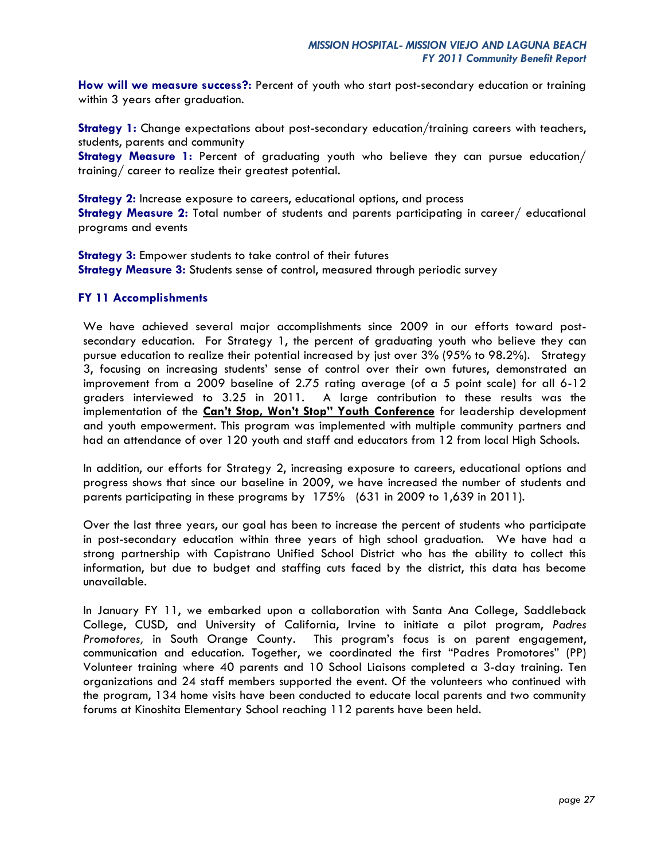**How will we measure success?:** Percent of youth who start post-secondary education or training within 3 years after graduation.

**Strategy 1:** Change expectations about post-secondary education/training careers with teachers, students, parents and community

**Strategy Measure 1:** Percent of graduating youth who believe they can pursue education/ training/ career to realize their greatest potential.

**Strategy 2:** Increase exposure to careers, educational options, and process **Strategy Measure 2:** Total number of students and parents participating in career/ educational programs and events

**Strategy 3:** Empower students to take control of their futures **Strategy Measure 3:** Students sense of control, measured through periodic survey

#### **FY 11 Accomplishments**

We have achieved several major accomplishments since 2009 in our efforts toward postsecondary education. For Strategy 1, the percent of graduating youth who believe they can pursue education to realize their potential increased by just over 3% (95% to 98.2%). Strategy 3, focusing on increasing students' sense of control over their own futures, demonstrated an improvement from a 2009 baseline of 2.75 rating average (of a 5 point scale) for all 6-12 graders interviewed to 3.25 in 2011. A large contribution to these results was the implementation of the **Can't Stop, Won't Stop" Youth Conference** for leadership development and youth empowerment. This program was implemented with multiple community partners and had an attendance of over 120 youth and staff and educators from 12 from local High Schools.

In addition, our efforts for Strategy 2, increasing exposure to careers, educational options and progress shows that since our baseline in 2009, we have increased the number of students and parents participating in these programs by 175% (631 in 2009 to 1,639 in 2011).

Over the last three years, our goal has been to increase the percent of students who participate in post-secondary education within three years of high school graduation. We have had a strong partnership with Capistrano Unified School District who has the ability to collect this information, but due to budget and staffing cuts faced by the district, this data has become unavailable.

In January FY 11, we embarked upon a collaboration with Santa Ana College, Saddleback College, CUSD, and University of California, Irvine to initiate a pilot program, *Padres Promotores,* in South Orange County. This program's focus is on parent engagement, communication and education. Together, we coordinated the first "Padres Promotores" (PP) Volunteer training where 40 parents and 10 School Liaisons completed a 3-day training. Ten organizations and 24 staff members supported the event. Of the volunteers who continued with the program, 134 home visits have been conducted to educate local parents and two community forums at Kinoshita Elementary School reaching 112 parents have been held.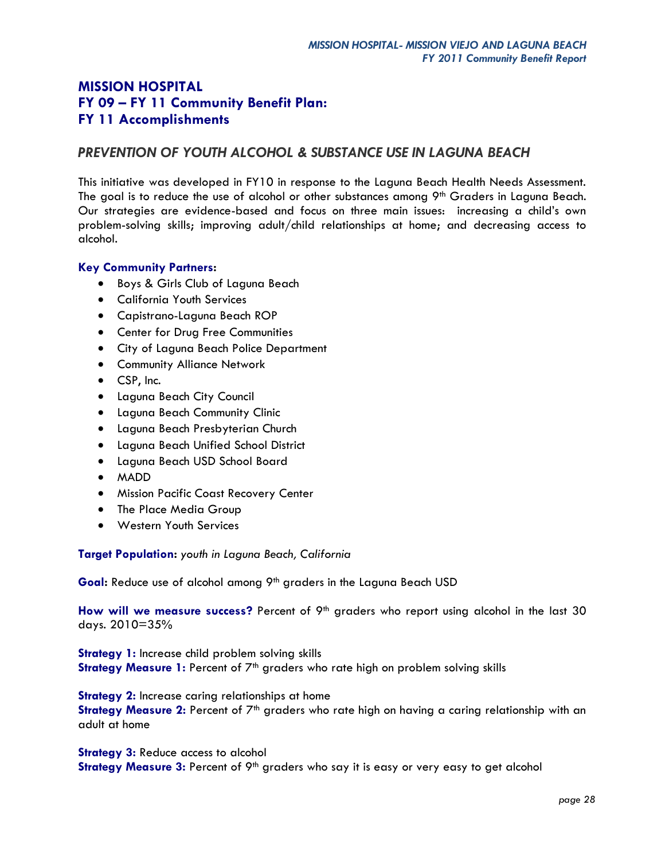## *PREVENTION OF YOUTH ALCOHOL & SUBSTANCE USE IN LAGUNA BEACH*

This initiative was developed in FY10 in response to the Laguna Beach Health Needs Assessment. The goal is to reduce the use of alcohol or other substances among 9<sup>th</sup> Graders in Laguna Beach. Our strategies are evidence-based and focus on three main issues: increasing a child's own problem-solving skills; improving adult/child relationships at home; and decreasing access to alcohol.

### **Key Community Partners:**

- Boys & Girls Club of Laguna Beach
- California Youth Services
- Capistrano-Laguna Beach ROP
- Center for Drug Free Communities
- City of Laguna Beach Police Department
- **•** Community Alliance Network
- CSP, Inc.
- Laguna Beach City Council
- Laguna Beach Community Clinic
- Laguna Beach Presbyterian Church
- Laguna Beach Unified School District
- Laguna Beach USD School Board
- MADD
- **Mission Pacific Coast Recovery Center**
- The Place Media Group
- Western Youth Services

**Target Population:** *youth in Laguna Beach, California*

Goal: Reduce use of alcohol among 9<sup>th</sup> graders in the Laguna Beach USD

How will we measure success? Percent of 9<sup>th</sup> graders who report using alcohol in the last 30 days. 2010=35%

**Strategy 1:** Increase child problem solving skills

**Strategy Measure 1:** Percent of 7<sup>th</sup> graders who rate high on problem solving skills

**Strategy 2:** Increase caring relationships at home

Strategy Measure 2: Percent of 7<sup>th</sup> graders who rate high on having a caring relationship with an adult at home

**Strategy 3:** Reduce access to alcohol **Strategy Measure 3:** Percent of 9<sup>th</sup> graders who say it is easy or very easy to get alcohol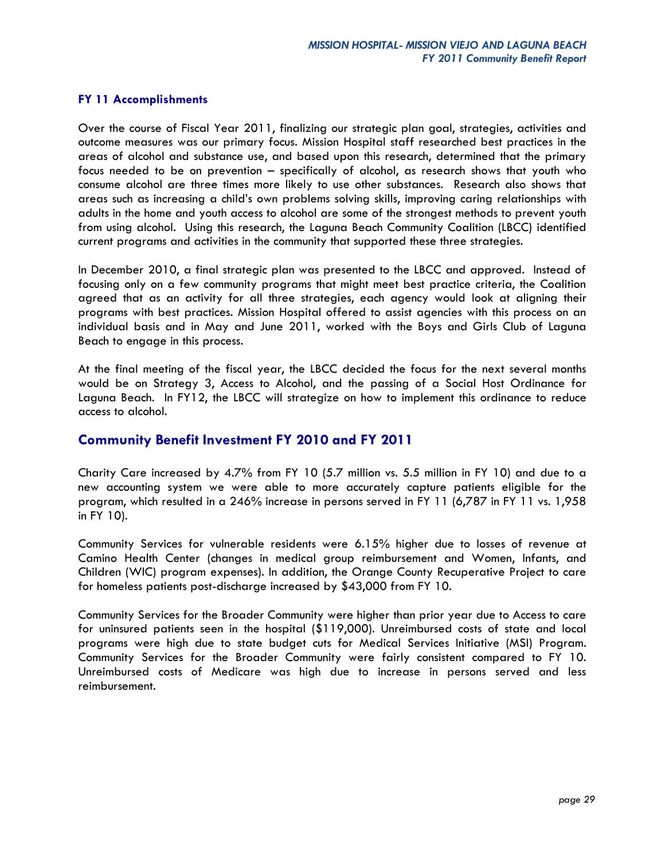#### **FY 11 Accomplishments**

Over the course of Fiscal Year 2011, finalizing our strategic plan goal, strategies, activities and outcome measures was our primary focus. Mission Hospital staff researched best practices in the areas of alcohol and substance use, and based upon this research, determined that the primary focus needed to be on prevention – specifically of alcohol, as research shows that youth who consume alcohol are three times more likely to use other substances. Research also shows that areas such as increasing a child's own problems solving skills, improving caring relationships with adults in the home and youth access to alcohol are some of the strongest methods to prevent youth from using alcohol. Using this research, the Laguna Beach Community Coalition (LBCC) identified current programs and activities in the community that supported these three strategies.

In December 2010, a final strategic plan was presented to the LBCC and approved. Instead of focusing only on a few community programs that might meet best practice criteria, the Coalition agreed that as an activity for all three strategies, each agency would look at aligning their programs with best practices. Mission Hospital offered to assist agencies with this process on an individual basis and in May and June 2011, worked with the Boys and Girls Club of Laguna Beach to engage in this process.

At the final meeting of the fiscal year, the LBCC decided the focus for the next several months would be on Strategy 3, Access to Alcohol, and the passing of a Social Host Ordinance for Laguna Beach. In FY12, the LBCC will strategize on how to implement this ordinance to reduce access to alcohol.

### **Community Benefit Investment FY 2010 and FY 2011**

Charity Care increased by 4.7% from FY 10 (5.7 million vs. 5.5 million in FY 10) and due to a new accounting system we were able to more accurately capture patients eligible for the program, which resulted in a 246% increase in persons served in FY 11 (6,787 in FY 11 vs. 1,958 in FY 10).

Community Services for vulnerable residents were 6.15% higher due to losses of revenue at Camino Health Center (changes in medical group reimbursement and Women, Infants, and Children (WIC) program expenses). In addition, the Orange County Recuperative Project to care for homeless patients post-discharge increased by \$43,000 from FY 10.

Community Services for the Broader Community were higher than prior year due to Access to care for uninsured patients seen in the hospital (\$119,000). Unreimbursed costs of state and local programs were high due to state budget cuts for Medical Services Initiative (MSI) Program. Community Services for the Broader Community were fairly consistent compared to FY 10. Unreimbursed costs of Medicare was high due to increase in persons served and less reimbursement.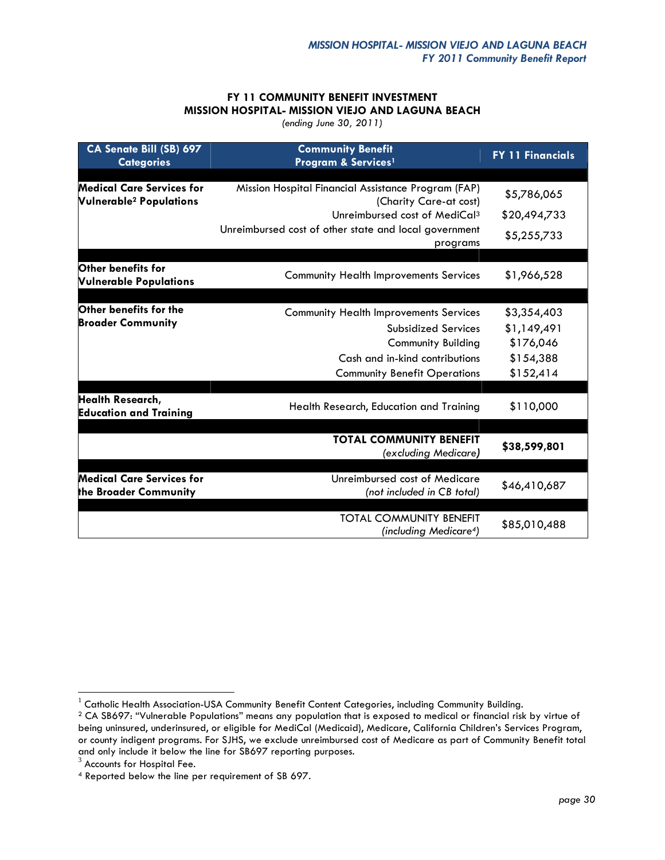### **FY 11 COMMUNITY BENEFIT INVESTMENT MISSION HOSPITAL- MISSION VIEJO AND LAGUNA BEACH**

*(ending June 30, 2011)*

| CA Senate Bill (SB) 697<br><b>Categories</b>                           | <b>Community Benefit</b><br>Program & Services <sup>1</sup>                   | <b>FY 11 Financials</b> |
|------------------------------------------------------------------------|-------------------------------------------------------------------------------|-------------------------|
| Medical Care Services for<br><b>Vulnerable<sup>2</sup> Populations</b> | Mission Hospital Financial Assistance Program (FAP)<br>(Charity Care-at cost) | \$5,786,065             |
|                                                                        | Unreimbursed cost of MediCal <sup>3</sup>                                     | \$20,494,733            |
|                                                                        | Unreimbursed cost of other state and local government<br>programs             | \$5,255,733             |
|                                                                        |                                                                               |                         |
| Other benefits for<br><b>Vulnerable Populations</b>                    | <b>Community Health Improvements Services</b>                                 | \$1,966,528             |
|                                                                        |                                                                               |                         |
| Other benefits for the                                                 | <b>Community Health Improvements Services</b>                                 | \$3,354,403             |
| <b>Broader Community</b>                                               | <b>Subsidized Services</b>                                                    | \$1,149,491             |
|                                                                        | <b>Community Building</b>                                                     | \$176,046               |
|                                                                        | Cash and in-kind contributions                                                | \$154,388               |
|                                                                        | <b>Community Benefit Operations</b>                                           | \$152,414               |
|                                                                        |                                                                               |                         |
| <b>Health Research,</b><br><b>Education and Training</b>               | Health Research, Education and Training                                       | \$110,000               |
|                                                                        |                                                                               |                         |
|                                                                        | <b>TOTAL COMMUNITY BENEFIT</b><br>(excluding Medicare)                        | \$38,599,801            |
|                                                                        |                                                                               |                         |
| <b>Medical Care Services for</b><br>the Broader Community              | Unreimbursed cost of Medicare<br>(not included in CB total)                   | \$46,410,687            |
|                                                                        | <b>TOTAL COMMUNITY BENEFIT</b><br>(including Medicare <sup>4</sup> )          | \$85,010,488            |

 $\overline{a}$ 

 $^{\rm 1}$  Catholic Health Association-USA Community Benefit Content Categories, including Community Building.

<sup>&</sup>lt;sup>2</sup> CA SB697: "Vulnerable Populations" means any population that is exposed to medical or financial risk by virtue of being uninsured, underinsured, or eligible for MediCal (Medicaid), Medicare, California Children's Services Program, or county indigent programs. For SJHS, we exclude unreimbursed cost of Medicare as part of Community Benefit total and only include it below the line for SB697 reporting purposes.<br><sup>3</sup> Accounts for Hospital Fee.

<sup>4</sup> Reported below the line per requirement of SB 697.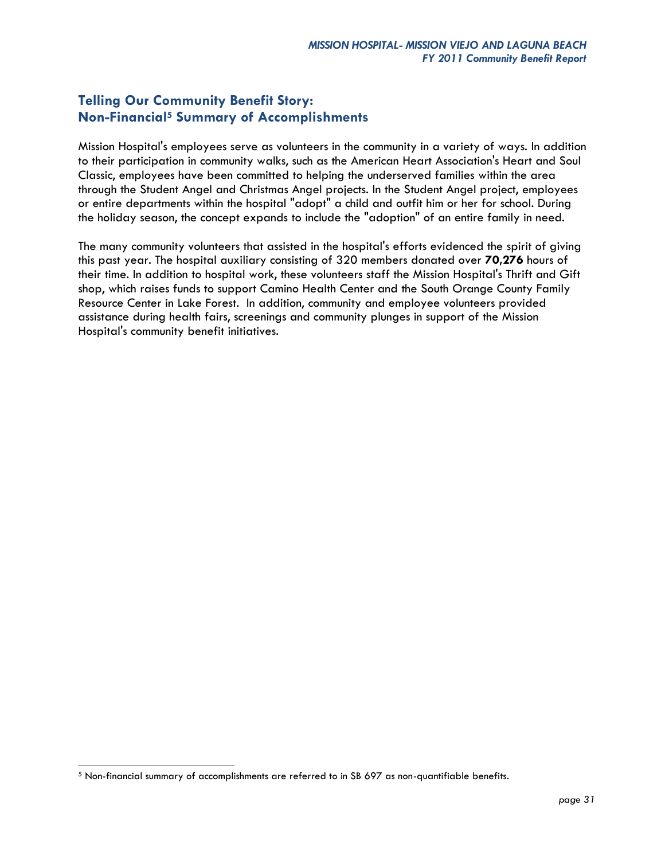# **Telling Our Community Benefit Story: Non-Financial<sup>5</sup> Summary of Accomplishments**

Mission Hospital's employees serve as volunteers in the community in a variety of ways. In addition to their participation in community walks, such as the American Heart Association's Heart and Soul Classic, employees have been committed to helping the underserved families within the area through the Student Angel and Christmas Angel projects. In the Student Angel project, employees or entire departments within the hospital "adopt" a child and outfit him or her for school. During the holiday season, the concept expands to include the "adoption" of an entire family in need.

The many community volunteers that assisted in the hospital's efforts evidenced the spirit of giving this past year. The hospital auxiliary consisting of 320 members donated over **70,276** hours of their time. In addition to hospital work, these volunteers staff the Mission Hospital's Thrift and Gift shop, which raises funds to support Camino Health Center and the South Orange County Family Resource Center in Lake Forest. In addition, community and employee volunteers provided assistance during health fairs, screenings and community plunges in support of the Mission Hospital's community benefit initiatives.

 $\overline{a}$ 

<sup>5</sup> Non-financial summary of accomplishments are referred to in SB 697 as non-quantifiable benefits.